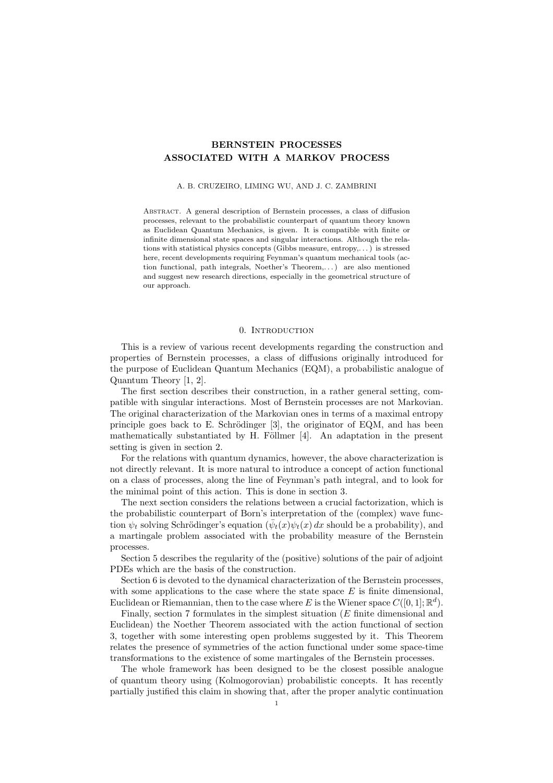# BERNSTEIN PROCESSES ASSOCIATED WITH A MARKOV PROCESS

#### A. B. CRUZEIRO, LIMING WU, AND J. C. ZAMBRINI

Abstract. A general description of Bernstein processes, a class of diffusion processes, relevant to the probabilistic counterpart of quantum theory known as Euclidean Quantum Mechanics, is given. It is compatible with finite or infinite dimensional state spaces and singular interactions. Although the relations with statistical physics concepts (Gibbs measure, entropy,. . . ) is stressed here, recent developments requiring Feynman's quantum mechanical tools (action functional, path integrals, Noether's Theorem,. . . ) are also mentioned and suggest new research directions, especially in the geometrical structure of our approach.

### 0. INTRODUCTION

This is a review of various recent developments regarding the construction and properties of Bernstein processes, a class of diffusions originally introduced for the purpose of Euclidean Quantum Mechanics (EQM), a probabilistic analogue of Quantum Theory [1, 2].

The first section describes their construction, in a rather general setting, compatible with singular interactions. Most of Bernstein processes are not Markovian. The original characterization of the Markovian ones in terms of a maximal entropy principle goes back to E. Schrödinger [3], the originator of EQM, and has been mathematically substantiated by H. Föllmer  $[4]$ . An adaptation in the present setting is given in section 2.

For the relations with quantum dynamics, however, the above characterization is not directly relevant. It is more natural to introduce a concept of action functional on a class of processes, along the line of Feynman's path integral, and to look for the minimal point of this action. This is done in section 3.

The next section considers the relations between a crucial factorization, which is the probabilistic counterpart of Born's interpretation of the (complex) wave function  $\psi_t$  solving Schrödinger's equation  $(\bar{\psi}_t(x)\psi_t(x))dx$  should be a probability), and a martingale problem associated with the probability measure of the Bernstein processes.

Section 5 describes the regularity of the (positive) solutions of the pair of adjoint PDEs which are the basis of the construction.

Section 6 is devoted to the dynamical characterization of the Bernstein processes, with some applications to the case where the state space  $E$  is finite dimensional, Euclidean or Riemannian, then to the case where E is the Wiener space  $C([0, 1]; \mathbb{R}^d)$ .

Finally, section 7 formulates in the simplest situation (E finite dimensional and Euclidean) the Noether Theorem associated with the action functional of section 3, together with some interesting open problems suggested by it. This Theorem relates the presence of symmetries of the action functional under some space-time transformations to the existence of some martingales of the Bernstein processes.

The whole framework has been designed to be the closest possible analogue of quantum theory using (Kolmogorovian) probabilistic concepts. It has recently partially justified this claim in showing that, after the proper analytic continuation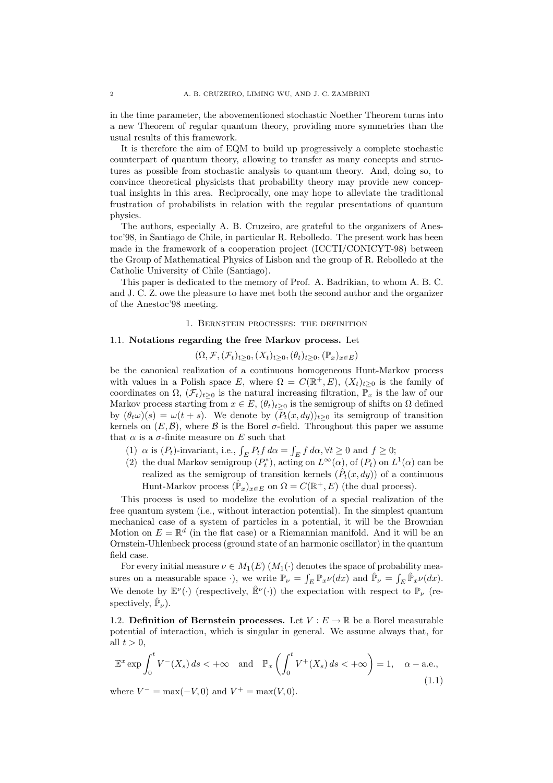in the time parameter, the abovementioned stochastic Noether Theorem turns into a new Theorem of regular quantum theory, providing more symmetries than the usual results of this framework.

It is therefore the aim of EQM to build up progressively a complete stochastic counterpart of quantum theory, allowing to transfer as many concepts and structures as possible from stochastic analysis to quantum theory. And, doing so, to convince theoretical physicists that probability theory may provide new conceptual insights in this area. Reciprocally, one may hope to alleviate the traditional frustration of probabilists in relation with the regular presentations of quantum physics.

The authors, especially A. B. Cruzeiro, are grateful to the organizers of Anestoc'98, in Santiago de Chile, in particular R. Rebolledo. The present work has been made in the framework of a cooperation project (ICCTI/CONICYT-98) between the Group of Mathematical Physics of Lisbon and the group of R. Rebolledo at the Catholic University of Chile (Santiago).

This paper is dedicated to the memory of Prof. A. Badrikian, to whom A. B. C. and J. C. Z. owe the pleasure to have met both the second author and the organizer of the Anestoc'98 meeting.

### 1. Bernstein processes: the definition

## 1.1. Notations regarding the free Markov process. Let

 $(\Omega, \mathcal{F}, (\mathcal{F}_t)_{t\geq 0}, (X_t)_{t\geq 0}, (\theta_t)_{t\geq 0}, (\mathbb{P}_x)_{x\in E})$ 

be the canonical realization of a continuous homogeneous Hunt-Markov process with values in a Polish space E, where  $\Omega = C(\mathbb{R}^+, E), (X_t)_{t \geq 0}$  is the family of coordinates on  $\Omega$ ,  $(\mathcal{F}_t)_{t>0}$  is the natural increasing filtration,  $\mathbb{P}_x$  is the law of our Markov process starting from  $x \in E$ ,  $(\theta_t)_{t>0}$  is the semigroup of shifts on  $\Omega$  defined by  $(\theta_t \omega)(s) = \omega(t+s)$ . We denote by  $(P_t(x, dy))_{t\geq 0}$  its semigroup of transition kernels on  $(E, \mathcal{B})$ , where  $\mathcal B$  is the Borel  $\sigma$ -field. Throughout this paper we assume that  $\alpha$  is a  $\sigma$ -finite measure on E such that R

- (1)  $\alpha$  is ( $P_t$ )-invariant, i.e.,  $\int_E P_t f d\alpha =$  $\sum_{E} f \, d\alpha, \forall t \geq 0 \text{ and } f \geq 0;$
- (2) the dual Markov semigroup  $(P_t^*$ , acting on  $L^{\infty}(\alpha)$ , of  $(P_t)$  on  $L^1(\alpha)$  can be realized as the semigroup of transition kernels  $(\hat{P}_t(x, dy))$  of a continuous Hunt-Markov process  $(\hat{\mathbb{P}}_x)_{x \in E}$  on  $\Omega = C(\mathbb{R}^+, E)$  (the dual process).

This process is used to modelize the evolution of a special realization of the free quantum system (i.e., without interaction potential). In the simplest quantum mechanical case of a system of particles in a potential, it will be the Brownian Motion on  $E = \mathbb{R}^d$  (in the flat case) or a Riemannian manifold. And it will be an Ornstein-Uhlenbeck process (ground state of an harmonic oscillator) in the quantum field case.

For every initial measure  $\nu \in M_1(E)$   $(M_1(\cdot))$  denotes the space of probability measures on a measurable space  $\cdot$ ), we write  $\mathbb{P}_{\nu} = \int_{E} \mathbb{P}_{x} \nu(dx)$  and  $\hat{\mathbb{P}}_{\nu} = \int_{E} \hat{\mathbb{P}}_{x} \nu(dx)$ . We denote by  $\mathbb{E}^{\nu}(\cdot)$  (respectively,  $\hat{\mathbb{E}}^{\nu}(\cdot)$ ) the expectation with respect to  $\mathbb{P}_{\nu}$  (respectively,  $\hat{\mathbb{P}}_{\nu}$ ).

1.2. Definition of Bernstein processes. Let  $V : E \to \mathbb{R}$  be a Borel measurable potential of interaction, which is singular in general. We assume always that, for all  $t > 0$ ,

$$
\mathbb{E}^x \exp \int_0^t V^-(X_s) \, ds < +\infty \quad \text{and} \quad \mathbb{P}_x \left( \int_0^t V^+(X_s) \, ds < +\infty \right) = 1, \quad \alpha-\text{a.e.,}
$$
\n(1.1)

where  $V^- = \max(-V, 0)$  and  $V^+ = \max(V, 0)$ .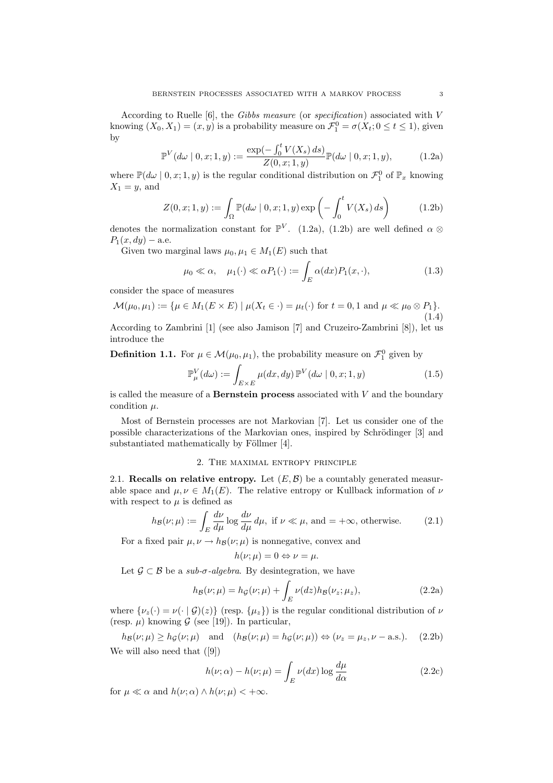According to Ruelle [6], the Gibbs measure (or specification) associated with V knowing  $(X_0, X_1) = (x, y)$  is a probability measure on  $\mathcal{F}_1^0 = \sigma(X_t; 0 \le t \le 1)$ , given by  $\mathbf{r}^t$ 

$$
\mathbb{P}^V(d\omega \mid 0, x; 1, y) := \frac{\exp(-\int_0^t V(X_s) \, ds)}{Z(0, x; 1, y)} \mathbb{P}(d\omega \mid 0, x; 1, y),\tag{1.2a}
$$

where  $\mathbb{P}(d\omega \mid 0, x; 1, y)$  is the regular conditional distribution on  $\mathcal{F}_1^0$  of  $\mathbb{P}_x$  knowing  $X_1 = y$ , and

$$
Z(0, x; 1, y) := \int_{\Omega} \mathbb{P}(d\omega \mid 0, x; 1, y) \exp\left(-\int_0^t V(X_s) ds\right)
$$
 (1.2b)

denotes the normalization constant for  $\mathbb{P}^V$ . (1.2a), (1.2b) are well defined  $\alpha \otimes$  $P_1(x, dy) -$ a.e.

Given two marginal laws  $\mu_0, \mu_1 \in M_1(E)$  such that

$$
\mu_0 \ll \alpha, \quad \mu_1(\cdot) \ll \alpha P_1(\cdot) := \int_E \alpha(dx) P_1(x, \cdot), \tag{1.3}
$$

consider the space of measures

$$
\mathcal{M}(\mu_0, \mu_1) := \{ \mu \in M_1(E \times E) \mid \mu(X_t \in \cdot) = \mu_t(\cdot) \text{ for } t = 0, 1 \text{ and } \mu \ll \mu_0 \otimes P_1 \}.
$$
\n(1.4)

According to Zambrini [1] (see also Jamison [7] and Cruzeiro-Zambrini [8]), let us introduce the

**Definition 1.1.** For 
$$
\mu \in \mathcal{M}(\mu_0, \mu_1)
$$
, the probability measure on  $\mathcal{F}_1^0$  given by\n
$$
\mathbb{P}_\mu^V(d\omega) := \int_{E \times E} \mu(dx, dy) \, \mathbb{P}^V(d\omega \mid 0, x; 1, y) \tag{1.5}
$$

is called the measure of a **Bernstein process** associated with  $V$  and the boundary condition  $\mu$ .

Most of Bernstein processes are not Markovian [7]. Let us consider one of the possible characterizations of the Markovian ones, inspired by Schrödinger [3] and substantiated mathematically by Föllmer  $[4]$ .

## 2. The maximal entropy principle

2.1. Recalls on relative entropy. Let  $(E, \mathcal{B})$  be a countably generated measurable space and  $\mu, \nu \in M_1(E)$ . The relative entropy or Kullback information of  $\nu$ with respect to  $\mu$  is defined as

$$
h_{\mathcal{B}}(\nu;\mu) := \int_{E} \frac{d\nu}{d\mu} \log \frac{d\nu}{d\mu} d\mu, \text{ if } \nu \ll \mu, \text{ and } = +\infty, \text{ otherwise.}
$$
 (2.1)

For a fixed pair  $\mu, \nu \rightarrow h_{\mathcal{B}}(\nu; \mu)$  is nonnegative, convex and

$$
h(\nu;\mu)=0 \Leftrightarrow \nu=\mu.
$$

Let 
$$
\mathcal{G} \subset \mathcal{B}
$$
 be a sub- $\sigma$ -algebra. By desintegration, we have  
\n
$$
h_{\mathcal{B}}(\nu;\mu) = h_{\mathcal{G}}(\nu;\mu) + \int_{E} \nu(dz) h_{\mathcal{B}}(\nu_z;\mu_z), \qquad (2.2a)
$$

where  $\{\nu_z(\cdot) = \nu(\cdot \mid \mathcal{G})(z)\}\$  (resp.  $\{\mu_z\}\$ ) is the regular conditional distribution of  $\nu$ (resp.  $\mu$ ) knowing  $\mathcal G$  (see [19]). In particular,

$$
h_{\mathcal{B}}(\nu;\mu) \ge h_{\mathcal{G}}(\nu;\mu) \quad \text{and} \quad (h_{\mathcal{B}}(\nu;\mu) = h_{\mathcal{G}}(\nu;\mu)) \Leftrightarrow (\nu_z = \mu_z, \nu - \text{a.s.}). \tag{2.2b}
$$
  
We will also need that ([9])

$$
h(\nu;\alpha) - h(\nu;\mu) = \int_{E} \nu(dx) \log \frac{d\mu}{d\alpha}
$$
 (2.2c)

for  $\mu \ll \alpha$  and  $h(\nu; \alpha) \wedge h(\nu; \mu) < +\infty$ .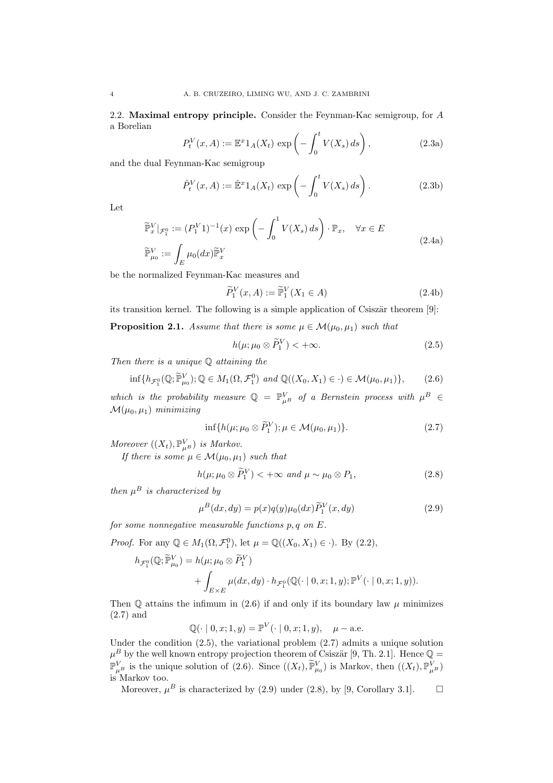2.2. Maximal entropy principle. Consider the Feynman-Kac semigroup, for A a Borelian

$$
P_t^V(x, A) := \mathbb{E}^x 1_A(X_t) \exp\left(-\int_0^t V(X_s) \, ds\right),\tag{2.3a}
$$

and the dual Feynman-Kac semigroup

$$
\hat{P}_t^V(x, A) := \hat{\mathbb{E}}^x 1_A(X_t) \exp\left(-\int_0^t V(X_s) \, ds\right). \tag{2.3b}
$$

Let

$$
\widetilde{\mathbb{P}}_x^V|_{\mathcal{F}_1^0} := (P_1^V 1)^{-1}(x) \exp\left(-\int_0^1 V(X_s) ds\right) \cdot \mathbb{P}_x, \quad \forall x \in E
$$
\n
$$
\widetilde{\mathbb{P}}_{\mu_0}^V := \int_E \mu_0(dx) \widetilde{\mathbb{P}}_x^V \tag{2.4a}
$$

be the normalized Feynman-Kac measures and

$$
\widetilde{P}_1^V(x, A) := \widetilde{\mathbb{P}}_1^V(X_1 \in A)
$$
\n(2.4b)

its transition kernel. The following is a simple application of Csiszär theorem  $[9]$ :

**Proposition 2.1.** Assume that there is some  $\mu \in \mathcal{M}(\mu_0, \mu_1)$  such that

$$
h(\mu; \mu_0 \otimes \widetilde{P}_1^V) < +\infty. \tag{2.5}
$$

Then there is a unique  $Q$  attaining the

$$
\inf\{h_{\mathcal{F}_1^0}(\mathbb{Q};\widetilde{\mathbb{P}}_{\mu_0}^V); \mathbb{Q}\in M_1(\Omega,\mathcal{F}_1^0)\ and\ \mathbb{Q}((X_0,X_1)\in\cdot)\in\mathcal{M}(\mu_0,\mu_1)\},\tag{2.6}
$$

which is the probability measure  $\mathbb{Q} = \mathbb{P}_{\mu}^V$  of a Bernstein process with  $\mu^B \in$  $\mathcal{M}(\mu_0, \mu_1)$  minimizing

$$
\inf\{h(\mu;\mu_0\otimes\widetilde{P}_1^V); \mu\in\mathcal{M}(\mu_0,\mu_1)\}.
$$
\n(2.7)

Moreover  $((X_t), \mathbb{P}_{\mu}^V)$  is Markov.

If there is some  $\mu \in \mathcal{M}(\mu_0, \mu_1)$  such that

$$
h(\mu; \mu_0 \otimes \widetilde{P}_1^V) < +\infty \text{ and } \mu \sim \mu_0 \otimes P_1,\tag{2.8}
$$

then  $\mu^B$  is characterized by

$$
\mu^{B}(dx, dy) = p(x)q(y)\mu_0(dx)\widetilde{P}_1^V(x, dy)
$$
\n(2.9)

for some nonnegative measurable functions  $p, q$  on  $E$ .

*Proof.* For any  $\mathbb{Q} \in M_1(\Omega, \mathcal{F}_1^0)$ , let  $\mu = \mathbb{Q}((X_0, X_1) \in \cdot)$ . By (2.2),

$$
h_{\mathcal{F}_1^0}(\mathbb{Q}; \widetilde{\mathbb{P}}_{\mu_0}^V) = h(\mu; \mu_0 \otimes \widetilde{P}_1^V) + \int_{E \times E} \mu(dx, dy) \cdot h_{\mathcal{F}_1^0}(\mathbb{Q}(\cdot \mid 0, x; 1, y); \mathbb{P}^V(\cdot \mid 0, x; 1, y)).
$$

Then  $\mathbb Q$  attains the infimum in (2.6) if and only if its boundary law  $\mu$  minimizes (2.7) and

 $\mathbb{Q}(\cdot \mid 0, x; 1, y) = \mathbb{P}^V(\cdot \mid 0, x; 1, y), \mu - \text{a.e.}$ 

Under the condition (2.5), the variational problem (2.7) admits a unique solution  $\mu^B$  by the well known entropy projection theorem of Csiszär [9, Th. 2.1]. Hence  $\mathbb{Q} =$  $\mathbb{P}_{\mu}^V$  is the unique solution of (2.6). Since  $((X_t), \widetilde{\mathbb{P}}_{\mu_0}^V)$  is Markov, then  $((X_t), \mathbb{P}_{\mu}^V)$ is Markov too.

Moreover,  $\mu^B$  is characterized by (2.9) under (2.8), by [9, Corollary 3.1].  $\Box$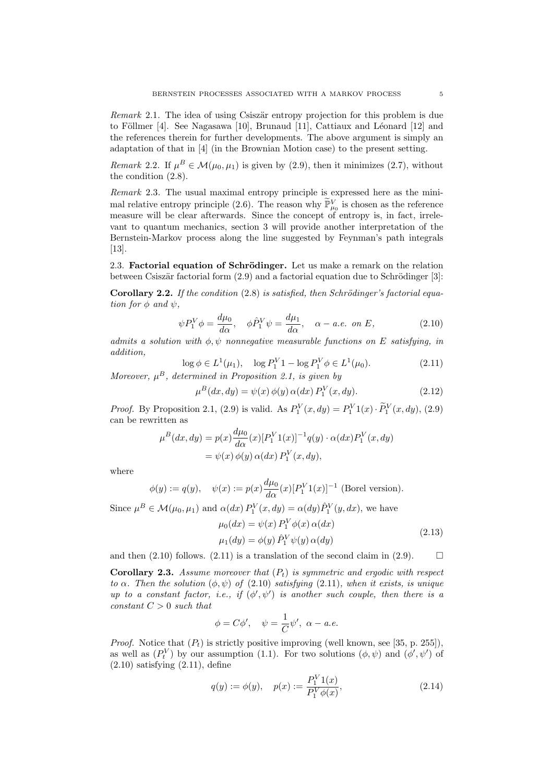Remark 2.1. The idea of using Csiszär entropy projection for this problem is due to Föllmer [4]. See Nagasawa [10], Brunaud [11], Cattiaux and Léonard [12] and the references therein for further developments. The above argument is simply an adaptation of that in [4] (in the Brownian Motion case) to the present setting.

Remark 2.2. If  $\mu^B \in \mathcal{M}(\mu_0, \mu_1)$  is given by (2.9), then it minimizes (2.7), without the condition (2.8).

Remark 2.3. The usual maximal entropy principle is expressed here as the minimal relative entropy principle (2.6). The reason why  $\widetilde{\mathbb{P}}_{\mu_0}^V$  is chosen as the reference measure will be clear afterwards. Since the concept of entropy is, in fact, irrelevant to quantum mechanics, section 3 will provide another interpretation of the Bernstein-Markov process along the line suggested by Feynman's path integrals [13].

2.3. Factorial equation of Schrödinger. Let us make a remark on the relation between Csiszär factorial form  $(2.9)$  and a factorial equation due to Schrödinger [3]:

Corollary 2.2. If the condition  $(2.8)$  is satisfied, then Schrödinger's factorial equation for  $\phi$  and  $\psi$ ,

$$
\psi P_1^V \phi = \frac{d\mu_0}{d\alpha}, \quad \phi \hat{P}_1^V \psi = \frac{d\mu_1}{d\alpha}, \quad \alpha - a.e. \text{ on } E,
$$
\n(2.10)

admits a solution with  $\phi, \psi$  nonnegative measurable functions on E satisfying, in addition,

$$
\log \phi \in L^1(\mu_1), \quad \log P_1^V 1 - \log P_1^V \phi \in L^1(\mu_0). \tag{2.11}
$$

Moreover,  $\mu^B$ , determined in Proposition 2.1, is given by

$$
\mu^{B}(dx, dy) = \psi(x) \phi(y) \alpha(dx) P_1^V(x, dy).
$$
 (2.12)

*Proof.* By Proposition 2.1, (2.9) is valid. As  $P_1^V(x, dy) = P_1^V(1(x) \cdot \widetilde{P}_1^V(x, dy), (2.9)$ can be rewritten as

$$
\mu^B(dx, dy) = p(x) \frac{d\mu_0}{d\alpha}(x) [P_1^V 1(x)]^{-1} q(y) \cdot \alpha(dx) P_1^V(x, dy)
$$
  
=  $\psi(x) \phi(y) \alpha(dx) P_1^V(x, dy),$ 

where

$$
\phi(y) := q(y), \quad \psi(x) := p(x) \frac{d\mu_0}{d\alpha}(x) [P_1^V 1(x)]^{-1}
$$
 (Borel version).

Since  $\mu^B \in \mathcal{M}(\mu_0, \mu_1)$  and  $\alpha(dx) P_1^V(x, dy) = \alpha(dy) \hat{P}_1^V(y, dx)$ , we have

$$
\mu_0(dx) = \psi(x) P_1^V \phi(x) \alpha(dx)
$$
  

$$
\mu_1(dy) = \phi(y) \hat{P}_1^V \psi(y) \alpha(dy)
$$
 (2.13)

and then (2.10) follows. (2.11) is a translation of the second claim in (2.9).  $\Box$ 

**Corollary 2.3.** Assume moreover that  $(P_t)$  is symmetric and ergodic with respect to  $\alpha$ . Then the solution  $(\phi, \psi)$  of  $(2.10)$  satisfying  $(2.11)$ , when it exists, is unique up to a constant factor, i.e., if  $(\phi', \psi')$  is another such couple, then there is a constant  $C > 0$  such that

$$
\phi = C\phi', \quad \psi = \frac{1}{C}\psi', \ \alpha - a.e.
$$

*Proof.* Notice that  $(P_t)$  is strictly positive improving (well known, see [35, p. 255]), as well as  $(P_t^V)$  by our assumption (1.1). For two solutions  $(\phi, \psi)$  and  $(\phi', \psi')$  of  $(2.10)$  satisfying  $(2.11)$ , define

$$
q(y) := \phi(y), \quad p(x) := \frac{P_1^V 1(x)}{P_1^V \phi(x)},
$$
\n(2.14)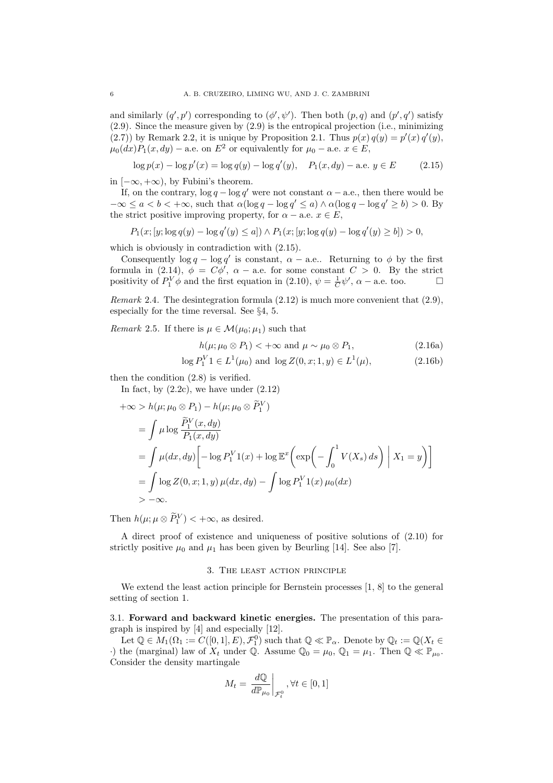and similarly  $(q', p')$  corresponding to  $(\phi', \psi')$ . Then both  $(p, q)$  and  $(p', q')$  satisfy (2.9). Since the measure given by (2.9) is the entropical projection (i.e., minimizing (2.7)) by Remark 2.2, it is unique by Proposition 2.1. Thus  $p(x) q(y) = p'(x) q'(y)$ ,  $\mu_0(dx)P_1(x, dy)$  – a.e. on  $E^2$  or equivalently for  $\mu_0$  – a.e.  $x \in E$ ,

$$
\log p(x) - \log p'(x) = \log q(y) - \log q'(y), \quad P_1(x, dy) - \text{a.e. } y \in E \tag{2.15}
$$

in  $[-\infty, +\infty)$ , by Fubini's theorem.

If, on the contrary,  $\log q - \log q'$  were not constant  $\alpha -$  a.e., then there would be  $-\infty \le a < b < +\infty$ , such that  $\alpha(\log q - \log q' \le a) \wedge \alpha(\log q - \log q' \ge b) > 0$ . By the strict positive improving property, for  $\alpha$  – a.e.  $x \in E$ ,

$$
P_1(x; [y; \log q(y) - \log q'(y) \le a]) \wedge P_1(x; [y; \log q(y) - \log q'(y) \ge b]) > 0,
$$

which is obviously in contradiction with (2.15).

Consequently  $\log q - \log q'$  is constant,  $\alpha -$  a.e.. Returning to  $\phi$  by the first formula in (2.14),  $\phi = C\phi'$ ,  $\alpha$  – a.e. for some constant  $C > 0$ . By the strict positivity of  $P_1^V \phi$  and the first equation in (2.10),  $\psi = \frac{1}{C} \psi'$ ,  $\alpha$  – a.e. too.

Remark 2.4. The desintegration formula  $(2.12)$  is much more convenient that  $(2.9)$ , especially for the time reversal. See §4, 5.

Remark 2.5. If there is  $\mu \in \mathcal{M}(\mu_0; \mu_1)$  such that

$$
h(\mu; \mu_0 \otimes P_1) < +\infty \text{ and } \mu \sim \mu_0 \otimes P_1,\tag{2.16a}
$$

$$
\log P_1^V 1 \in L^1(\mu_0) \text{ and } \log Z(0, x; 1, y) \in L^1(\mu), \tag{2.16b}
$$

then the condition (2.8) is verified.

In fact, by  $(2.2c)$ , we have under  $(2.12)$ 

$$
+\infty > h(\mu; \mu_0 \otimes P_1) - h(\mu; \mu_0 \otimes \widetilde{P}_1^V)
$$
  
= 
$$
\int \mu \log \frac{\widetilde{P}_1^V(x, dy)}{P_1(x, dy)}
$$
  
= 
$$
\int \mu(dx, dy) \left[ -\log P_1^V 1(x) + \log \mathbb{E}^x \left( \exp \left( -\int_0^1 V(X_s) ds \right) \mid X_1 = y \right) \right]
$$
  
= 
$$
\int \log Z(0, x; 1, y) \mu(dx, dy) - \int \log P_1^V 1(x) \mu_0(dx)
$$
  
> 
$$
-\infty.
$$

Then  $h(\mu; \mu \otimes \widetilde{P}_1^V) < +\infty$ , as desired.

A direct proof of existence and uniqueness of positive solutions of (2.10) for strictly positive  $\mu_0$  and  $\mu_1$  has been given by Beurling [14]. See also [7].

#### 3. The least action principle

We extend the least action principle for Bernstein processes [1, 8] to the general setting of section 1.

3.1. Forward and backward kinetic energies. The presentation of this paragraph is inspired by [4] and especially [12].

Let  $\mathbb{Q} \in M_1(\Omega_1 := C([0,1], E), \mathcal{F}_1^0)$  such that  $\mathbb{Q} \ll \mathbb{P}_{\alpha}$ . Denote by  $\mathbb{Q}_t := \mathbb{Q}(X_t \in$  $\cdot$ ) the (marginal) law of  $X_t$  under Q. Assume  $\mathbb{Q}_0 = \mu_0$ ,  $\mathbb{Q}_1 = \mu_1$ . Then  $\mathbb{Q} \ll \mathbb{P}_{\mu_0}$ . Consider the density martingale  $\overline{a}$ 

$$
M_t = \left. \frac{d\mathbb{Q}}{d\mathbb{P}_{\mu_0}} \right|_{\mathcal{F}_t^0}, \forall t \in [0,1]
$$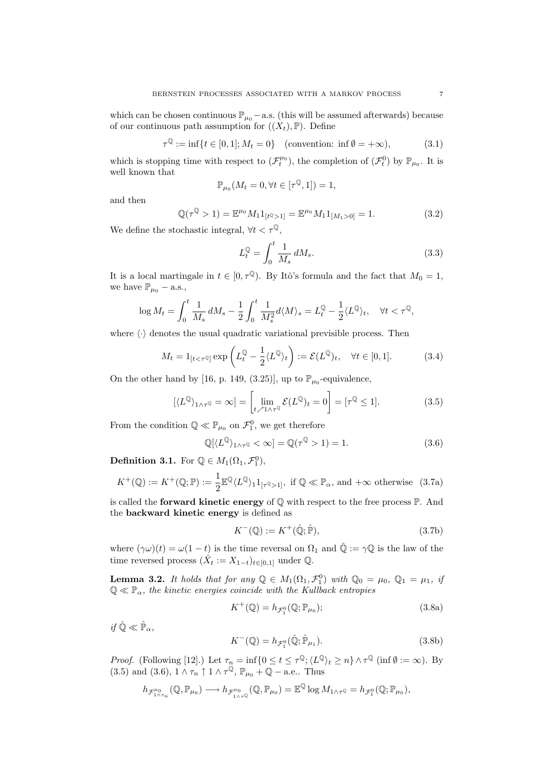which can be chosen continuous  $\mathbb{P}_{\mu_0}$  – a.s. (this will be assumed afterwards) because of our continuous path assumption for  $((X_t), \mathbb{P})$ . Define

$$
\tau^{\mathbb{Q}} := \inf \{ t \in [0, 1]; M_t = 0 \} \quad \text{(convention: inf } \emptyset = +\infty), \tag{3.1}
$$

which is stopping time with respect to  $(\mathcal{F}^{\mu_0}_t)$ , the completion of  $(\mathcal{F}^0_t)$  by  $\mathbb{P}_{\mu_0}$ . It is well known that

$$
\mathbb{P}_{\mu_0}(M_t=0, \forall t \in [\tau^{\mathbb{Q}}, 1]) = 1,
$$

and then

$$
\mathbb{Q}(\tau^{\mathbb{Q}} > 1) = \mathbb{E}^{\mu_0} M_1 1_{[t^{\mathbb{Q}} > 1]} = \mathbb{E}^{\mu_0} M_1 1_{[M_1 > 0]} = 1.
$$
 (3.2)

We define the stochastic integral,  $\forall t < \tau^{\mathbb{Q}},$ 

$$
L_t^{\mathbb{Q}} = \int_0^t \frac{1}{M_s} dM_s. \tag{3.3}
$$

It is a local martingale in  $t \in [0, \tau^{\mathbb{Q}})$ . By Itô's formula and the fact that  $M_0 = 1$ , we have  $\mathbb{P}_{\mu_0}$  – a.s.,

$$
\log M_t = \int_0^t \frac{1}{M_s} dM_s - \frac{1}{2} \int_0^t \frac{1}{M_s^2} d\langle M \rangle_s = L_t^{\mathbb{Q}} - \frac{1}{2} \langle L^{\mathbb{Q}} \rangle_t, \quad \forall t < \tau^{\mathbb{Q}},
$$

where  $\langle \cdot \rangle$  denotes the usual quadratic variational previsible process. Then

$$
M_t = 1_{[t < \tau^{\mathbb{Q}}]} \exp\left(L_t^{\mathbb{Q}} - \frac{1}{2} \langle L^{\mathbb{Q}} \rangle_t\right) := \mathcal{E}(L^{\mathbb{Q}})_t, \quad \forall t \in [0, 1].
$$
 (3.4)

On the other hand by [16, p. 149, (3.25)], up to  $\mathbb{P}_{\mu_0}$ -equivalence,

$$
[\langle L^{\mathbb{Q}} \rangle_{1 \wedge \tau^{\mathbb{Q}}} = \infty] = \left[ \lim_{t \nearrow 1 \wedge \tau^{\mathbb{Q}}} \mathcal{E}(L^{\mathbb{Q}})_t = 0 \right] = [\tau^{\mathbb{Q}} \le 1]. \tag{3.5}
$$

From the condition  $\mathbb{Q} \ll \mathbb{P}_{\mu_0}$  on  $\mathcal{F}_1^0$ , we get therefore

$$
\mathbb{Q}[\langle L^{\mathbb{Q}} \rangle_{1 \wedge \tau^{\mathbb{Q}}} < \infty] = \mathbb{Q}(\tau^{\mathbb{Q}} > 1) = 1. \tag{3.6}
$$

**Definition 3.1.** For  $\mathbb{Q} \in M_1(\Omega_1, \mathcal{F}_1^0)$ ,

$$
K^+(\mathbb{Q}) := K^+(\mathbb{Q}; \mathbb{P}) := \frac{1}{2} \mathbb{E}^{\mathbb{Q}} \langle L^{\mathbb{Q}} \rangle_1 1_{[\tau^{\mathbb{Q}} > 1]}, \text{ if } \mathbb{Q} \ll \mathbb{P}_\alpha \text{, and } +\infty \text{ otherwise} \quad (3.7a)
$$

is called the **forward kinetic energy** of  $\mathbb{Q}$  with respect to the free process  $\mathbb{P}$ . And the backward kinetic energy is defined as

$$
K^{-}(\mathbb{Q}) := K^{+}(\hat{\mathbb{Q}}; \hat{\mathbb{P}}), \tag{3.7b}
$$

where  $(\gamma\omega)(t) = \omega(1-t)$  is the time reversal on  $\Omega_1$  and  $\hat{\mathbb{Q}} := \gamma\mathbb{Q}$  is the law of the time reversed process  $(\hat{X}_t := X_{1-t})_{t \in [0,1]}$  under  $\mathbb{Q}$ .

**Lemma 3.2.** It holds that for any  $\mathbb{Q} \in M_1(\Omega_1, \mathcal{F}_1^0)$  with  $\mathbb{Q}_0 = \mu_0$ ,  $\mathbb{Q}_1 = \mu_1$ , if  $\mathbb{Q} \ll \mathbb{P}_{\alpha}$ , the kinetic energies coincide with the Kullback entropies

$$
K^{+}(\mathbb{Q}) = h_{\mathcal{F}_{1}^{0}}(\mathbb{Q}; \mathbb{P}_{\mu_{0}}); \tag{3.8a}
$$

 $if \hat{\mathbb{Q}} \ll \hat{\mathbb{P}}_{\alpha},$ 

$$
K^{-}(\mathbb{Q}) = h_{\mathcal{F}_{1}^{0}}(\hat{\mathbb{Q}}; \hat{\mathbb{P}}_{\mu_{1}}).
$$
\n(3.8b)

*Proof.* (Following [12].) Let  $\tau_n = \inf\{0 \le t \le \tau^{\mathbb{Q}}; \langle L^{\mathbb{Q}} \rangle_t \ge n\} \wedge \tau^{\mathbb{Q}}$  (inf  $\emptyset := \infty$ ). By (3.5) and (3.6),  $1 \wedge \tau_n \uparrow 1 \wedge \tau^{\mathbb{Q}}, \mathbb{P}_{\mu_0} + \mathbb{Q} - \text{a.e.}$ . Thus

$$
h_{\mathcal{F}_{1\wedge\tau_n}^{\mu_0}}(\mathbb{Q},\mathbb{P}_{\mu_0})\longrightarrow h_{\mathcal{F}_{1\wedge\tau_\circ}^{\mu_0}}(\mathbb{Q},\mathbb{P}_{\mu_0})=\mathbb{E}^{\mathbb{Q}}\log M_{1\wedge\tau_\circ}=\dot{h}_{\mathcal{F}_1^0}(\mathbb{Q};\mathbb{P}_{\mu_0}),
$$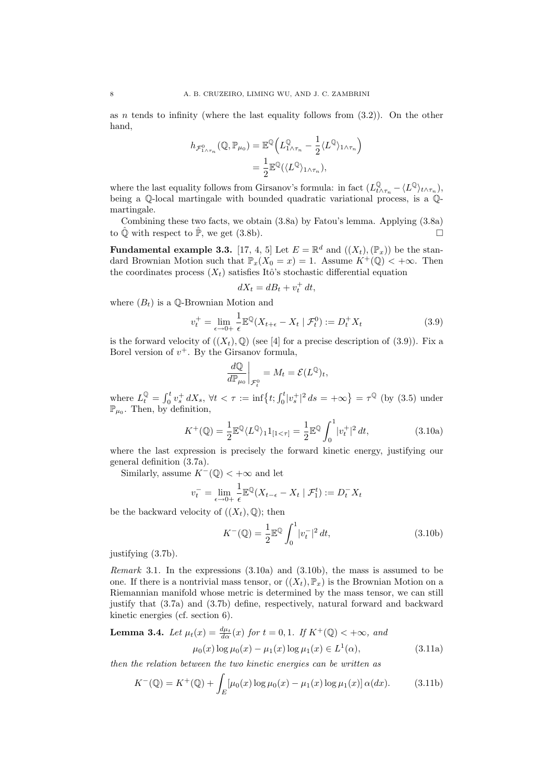as *n* tends to infinity (where the last equality follows from  $(3.2)$ ). On the other hand,

$$
h_{\mathcal{F}_{1\wedge\tau_{n}}^{0}}(\mathbb{Q},\mathbb{P}_{\mu_{0}})=\mathbb{E}^{\mathbb{Q}}\Big(L_{1\wedge\tau_{n}}^{\mathbb{Q}}-\frac{1}{2}\langle L^{\mathbb{Q}}\rangle_{1\wedge\tau_{n}}\Big)
$$

$$
=\frac{1}{2}\mathbb{E}^{\mathbb{Q}}(\langle L^{\mathbb{Q}}\rangle_{1\wedge\tau_{n}}),
$$

where the last equality follows from Girsanov's formula: in fact  $(L^{\mathbb{Q}}_{t \wedge \tau_n} - \langle L^{\mathbb{Q}} \rangle_{t \wedge \tau_n}),$ being a  $\mathbb{Q}$ -local martingale with bounded quadratic variational process, is a  $\mathbb{Q}$ martingale.

Combining these two facts, we obtain (3.8a) by Fatou's lemma. Applying (3.8a) to  $\hat{\mathbb{Q}}$  with respect to  $\hat{\mathbb{P}}$ , we get (3.8b).

**Fundamental example 3.3.** [17, 4, 5] Let  $E = \mathbb{R}^d$  and  $((X_t), (\mathbb{P}_x))$  be the standard Brownian Motion such that  $\mathbb{P}_x(X_0 = x) = 1$ . Assume  $K^+(\mathbb{Q}) < +\infty$ . Then the coordinates process  $(X_t)$  satisfies Itô's stochastic differential equation

$$
dX_t = dB_t + v_t^+ dt,
$$

where  $(B_t)$  is a  $\mathbb{O}\text{-}\mathrm{Brownian}\;$  Motion and

$$
v_t^+ = \lim_{\epsilon \to 0+} \frac{1}{\epsilon} \mathbb{E}^{\mathbb{Q}} (X_{t+\epsilon} - X_t \mid \mathcal{F}_t^0) := D_t^+ X_t \tag{3.9}
$$

is the forward velocity of  $((X_t), \mathbb{Q})$  (see [4] for a precise description of (3.9)). Fix a Borel version of  $v^+$ . By the Girsanov formula,

$$
\left.\frac{d\mathbb{Q}}{d\mathbb{P}_{\mu_0}}\right|_{\mathcal{F}_t^0}=M_t=\mathcal{E}(L^\mathbb{Q})_t,
$$

where  $L_t^{\mathbb{Q}} =$  $\mathbf{r}^t$  $\int_0^t v^+_s dX_s, \ \forall t < \tau := \inf\bigl\{ t; \int_0^t$  $v_0^t |v_s^+|^2 ds = +\infty$  $= \tau^{\mathbb{Q}}$  (by (3.5) under  $\mathbb{P}_{\mu_0}$ . Then, by definition,

$$
K^{+}(\mathbb{Q}) = \frac{1}{2} \mathbb{E}^{\mathbb{Q}} \langle L^{\mathbb{Q}} \rangle_{1} \mathbf{1}_{[1 < \tau]} = \frac{1}{2} \mathbb{E}^{\mathbb{Q}} \int_{0}^{1} |v_{t}^{+}|^{2} dt,
$$
 (3.10a)

where the last expression is precisely the forward kinetic energy, justifying our general definition (3.7a).

Similarly, assume  $K^{-}(\mathbb{Q}) < +\infty$  and let

$$
v_t^- = \lim_{\epsilon \to 0+} \frac{1}{\epsilon} \mathbb{E}^{\mathbb{Q}} (X_{t-\epsilon} - X_t \mid \mathcal{F}_1^t) := D_t^- X_t
$$

be the backward velocity of  $((X_t), \mathbb{Q})$ ; then

$$
K^{-}(\mathbb{Q}) = \frac{1}{2} \mathbb{E}^{\mathbb{Q}} \int_{0}^{1} |v_{t}^{-}|^{2} dt,
$$
\n(3.10b)

justifying (3.7b).

Remark 3.1. In the expressions (3.10a) and (3.10b), the mass is assumed to be one. If there is a nontrivial mass tensor, or  $((X_t), \mathbb{P}_x)$  is the Brownian Motion on a Riemannian manifold whose metric is determined by the mass tensor, we can still justify that (3.7a) and (3.7b) define, respectively, natural forward and backward kinetic energies (cf. section 6).

**Lemma 3.4.** Let 
$$
\mu_t(x) = \frac{d\mu_t}{d\alpha}(x)
$$
 for  $t = 0, 1$ . If  $K^+(\mathbb{Q}) < +\infty$ , and  

$$
\mu_0(x) \log \mu_0(x) - \mu_1(x) \log \mu_1(x) \in L^1(\alpha),
$$
(3.11a)

then the relation between the two kinetic energies can be written as

$$
K^{-}(\mathbb{Q}) = K^{+}(\mathbb{Q}) + \int_{E} \left[\mu_{0}(x) \log \mu_{0}(x) - \mu_{1}(x) \log \mu_{1}(x)\right] \alpha(dx). \tag{3.11b}
$$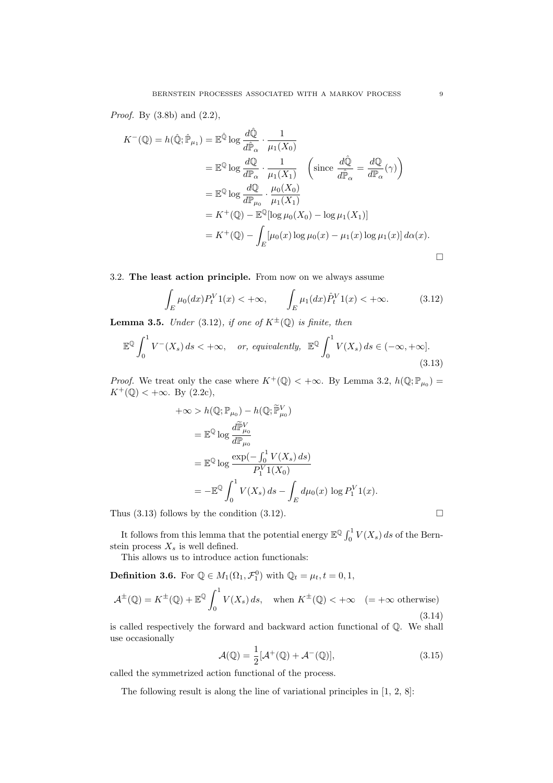Proof. By (3.8b) and (2.2),

$$
K^{-}(\mathbb{Q}) = h(\hat{\mathbb{Q}}; \hat{\mathbb{P}}_{\mu_1}) = \mathbb{E}^{\hat{\mathbb{Q}}}\log \frac{d\hat{\mathbb{Q}}}{d\hat{\mathbb{P}}_{\alpha}} \cdot \frac{1}{\mu_1(X_0)}
$$
  
\n
$$
= \mathbb{E}^{\mathbb{Q}}\log \frac{d\mathbb{Q}}{d\mathbb{P}_{\alpha}} \cdot \frac{1}{\mu_1(X_1)} \quad \left(\text{since } \frac{d\hat{\mathbb{Q}}}{d\hat{\mathbb{P}}_{\alpha}} = \frac{d\mathbb{Q}}{d\mathbb{P}_{\alpha}}(\gamma)\right)
$$
  
\n
$$
= \mathbb{E}^{\mathbb{Q}}\log \frac{d\mathbb{Q}}{d\mathbb{P}_{\mu_0}} \cdot \frac{\mu_0(X_0)}{\mu_1(X_1)}
$$
  
\n
$$
= K^{+}(\mathbb{Q}) - \mathbb{E}^{\mathbb{Q}}[\log \mu_0(X_0) - \log \mu_1(X_1)]
$$
  
\n
$$
= K^{+}(\mathbb{Q}) - \int_{E} [\mu_0(x) \log \mu_0(x) - \mu_1(x) \log \mu_1(x)] d\alpha(x).
$$

## 3.2. The least action principle. From now on we always assume

$$
\int_{E} \mu_0(dx) P_t^V 1(x) < +\infty, \qquad \int_{E} \mu_1(dx) \hat{P}_t^V 1(x) < +\infty. \tag{3.12}
$$

**Lemma 3.5.** Under (3.12), if one of  $K^{\pm}(\mathbb{Q})$  is finite, then

$$
\mathbb{E}^{\mathbb{Q}} \int_{0}^{1} V^{-}(X_{s}) ds < +\infty, \quad or, \; equivalently, \; \mathbb{E}^{\mathbb{Q}} \int_{0}^{1} V(X_{s}) ds \in (-\infty, +\infty].
$$
\n(3.13)

*Proof.* We treat only the case where  $K^+(\mathbb{Q}) < +\infty$ . By Lemma 3.2,  $h(\mathbb{Q}; \mathbb{P}_{\mu_0}) =$  $K^+(\mathbb{Q}) < +\infty$ . By (2.2c),

$$
+\infty > h(\mathbb{Q}; \mathbb{P}_{\mu_0}) - h(\mathbb{Q}; \widetilde{\mathbb{P}}_{\mu_0}^V)
$$
  
=  $\mathbb{E}^{\mathbb{Q}} \log \frac{d\widetilde{\mathbb{P}}_{\mu_0}^V}{d\mathbb{P}_{\mu_0}}$   
=  $\mathbb{E}^{\mathbb{Q}} \log \frac{\exp(-\int_0^1 V(X_s) ds)}{P_1^V 1(X_0)}$   
=  $-\mathbb{E}^{\mathbb{Q}} \int_0^1 V(X_s) ds - \int_E d\mu_0(x) \log P_1^V 1(x).$ 

Thus  $(3.13)$  follows by the condition  $(3.12)$ .

It follows from this lemma that the potential energy  $\mathbb{E}^{\mathbb{Q}} \int_0^1$  $\int_0^1 V(X_s) ds$  of the Bernstein process  $X_s$  is well defined.

This allows us to introduce action functionals:

**Definition 3.6.** For  $\mathbb{Q} \in M_1(\Omega_1, \mathcal{F}_1^0)$  with  $\mathbb{Q}_t = \mu_t, t = 0, 1$ ,

$$
\mathcal{A}^{\pm}(\mathbb{Q}) = K^{\pm}(\mathbb{Q}) + \mathbb{E}^{\mathbb{Q}} \int_0^1 V(X_s) \, ds, \quad \text{when } K^{\pm}(\mathbb{Q}) < +\infty \quad (= +\infty \text{ otherwise}) \tag{3.14}
$$

is called respectively the forward and backward action functional of Q. We shall use occasionally

$$
\mathcal{A}(\mathbb{Q}) = \frac{1}{2} [\mathcal{A}^+(\mathbb{Q}) + \mathcal{A}^-(\mathbb{Q})],\tag{3.15}
$$

called the symmetrized action functional of the process.

The following result is along the line of variational principles in [1, 2, 8]: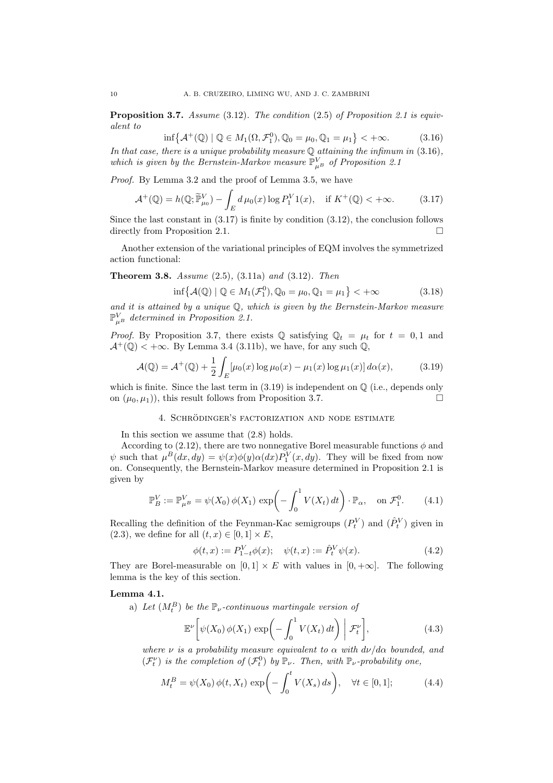Proposition 3.7. Assume (3.12). The condition (2.5) of Proposition 2.1 is equivalent to ª

$$
\inf \{ \mathcal{A}^+(\mathbb{Q}) \mid \mathbb{Q} \in M_1(\Omega, \mathcal{F}_1^0), \mathbb{Q}_0 = \mu_0, \mathbb{Q}_1 = \mu_1 \} < +\infty. \tag{3.16}
$$

In that case, there is a unique probability measure  $\mathbb Q$  attaining the infimum in (3.16), which is given by the Bernstein-Markov measure  $\mathbb{P}_{\mu}^{V}$  of Proposition 2.1

*Proof.* By Lemma 3.2 and the proof of Lemma 3.5, we have

$$
\mathcal{A}^+(\mathbb{Q}) = h(\mathbb{Q}; \widetilde{\mathbb{P}}^V_{\mu_0}) - \int_E d\,\mu_0(x) \log P_1^V 1(x), \quad \text{if } K^+(\mathbb{Q}) < +\infty. \tag{3.17}
$$

Since the last constant in  $(3.17)$  is finite by condition  $(3.12)$ , the conclusion follows directly from Proposition 2.1.  $\Box$ 

Another extension of the variational principles of EQM involves the symmetrized action functional:

**Theorem 3.8.** Assume  $(2.5)$ ,  $(3.11a)$  and  $(3.12)$ . Then

$$
\inf \{ \mathcal{A}(\mathbb{Q}) \mid \mathbb{Q} \in M_1(\mathcal{F}_1^0), \mathbb{Q}_0 = \mu_0, \mathbb{Q}_1 = \mu_1 \} < +\infty \tag{3.18}
$$

and it is attained by a unique Q, which is given by the Bernstein-Markov measure  $\mathbb{P}_{\mu}^V$  determined in Proposition 2.1.

*Proof.* By Proposition 3.7, there exists  $\mathbb{Q}$  satisfying  $\mathbb{Q}_t = \mu_t$  for  $t = 0, 1$  and  $\mathcal{A}^+(\mathbb{Q}) < +\infty$ . By Lemma 3.4 (3.11b), we have, for any such  $\mathbb{Q}$ ,

$$
\mathcal{A}(\mathbb{Q}) = \mathcal{A}^+(\mathbb{Q}) + \frac{1}{2} \int_E [\mu_0(x) \log \mu_0(x) - \mu_1(x) \log \mu_1(x)] \, d\alpha(x), \tag{3.19}
$$

which is finite. Since the last term in  $(3.19)$  is independent on  $\mathbb Q$  (i.e., depends only on  $(\mu_0, \mu_1)$ , this result follows from Proposition 3.7.

#### 4. SCHRÖDINGER'S FACTORIZATION AND NODE ESTIMATE

In this section we assume that (2.8) holds.

According to (2.12), there are two nonnegative Borel measurable functions  $\phi$  and  $\psi$  such that  $\mu^B(dx, dy) = \psi(x)\phi(y)\alpha(dx)P_1^V(x, dy)$ . They will be fixed from now on. Consequently, the Bernstein-Markov measure determined in Proposition 2.1 is given by

$$
\mathbb{P}_{B}^{V} := \mathbb{P}_{\mu^{B}}^{V} = \psi(X_{0}) \phi(X_{1}) \exp\left(-\int_{0}^{1} V(X_{t}) dt\right) \cdot \mathbb{P}_{\alpha}, \text{ on } \mathcal{F}_{1}^{0}.
$$
 (4.1)

Recalling the definition of the Feynman-Kac semigroups  $(P_t^V)$  and  $(\hat{P}_t^V)$  given in  $(2.3)$ , we define for all  $(t, x) \in [0, 1] \times E$ ,

$$
\phi(t,x) := P_{1-t}^V \phi(x); \quad \psi(t,x) := \hat{P}_t^V \psi(x).
$$
\n(4.2)

They are Borel-measurable on  $[0, 1] \times E$  with values in  $[0, +\infty]$ . The following lemma is the key of this section.

## Lemma 4.1.

a) Let  $(M_t^B)$  be the  $\mathbb{P}_{\nu}$ -continuous martingale version of

$$
\mathbb{E}^{\nu}\left[\psi(X_0)\phi(X_1)\exp\left(-\int_0^1 V(X_t)\,dt\right)\bigg|\mathcal{F}_t^{\nu}\right],\tag{4.3}
$$

where  $\nu$  is a probability measure equivalent to  $\alpha$  with  $d\nu/d\alpha$  bounded, and  $(\mathcal{F}_t^{\nu})$  is the completion of  $(\mathcal{F}_t^0)$  by  $\mathbb{P}_{\nu}$ . Then, with  $\mathbb{P}_{\nu}$ -probability one,

$$
M_t^B = \psi(X_0) \phi(t, X_t) \exp\left(-\int_0^t V(X_s) \, ds\right), \quad \forall t \in [0, 1];\tag{4.4}
$$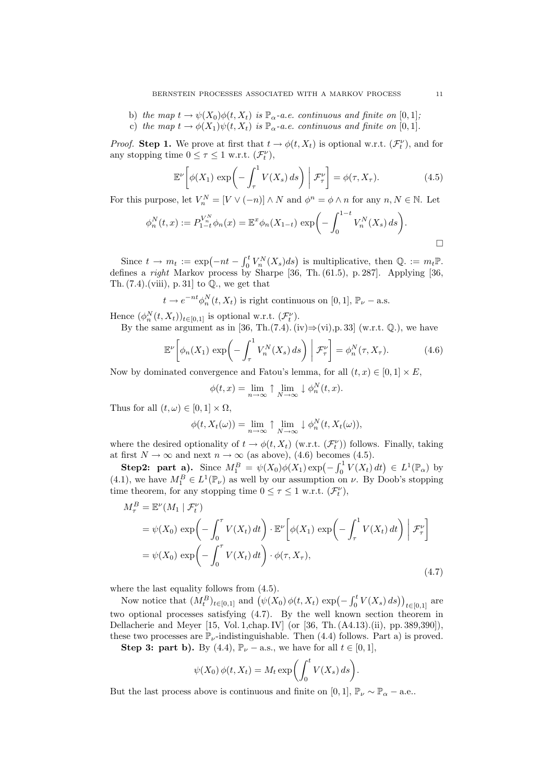- b) the map  $t \to \psi(X_0)\phi(t, X_t)$  is  $\mathbb{P}_{\alpha}$ -a.e. continuous and finite on [0,1];
- c) the map  $t \to \phi(X_1)\psi(t, X_t)$  is  $\mathbb{P}_{\alpha}$ -a.e. continuous and finite on [0,1].

*Proof.* Step 1. We prove at first that  $t \to \phi(t, X_t)$  is optional w.r.t.  $(\mathcal{F}_t^{\nu})$ , and for any stopping time  $0 \leq \tau \leq 1$  w.r.t.  $(\mathcal{F}_t^{\nu}),$ 

$$
\mathbb{E}^{\nu}\left[\phi(X_1)\,\exp\!\left(-\int_{\tau}^{1}V(X_s)\,ds\right)\bigg|\,\mathcal{F}^{\nu}_{\tau}\right] = \phi(\tau, X_{\tau}).\tag{4.5}
$$

For this purpose, let  $V_n^N = [V \vee (-n)] \wedge N$  and  $\phi^n = \phi \wedge n$  for any  $n, N \in \mathbb{N}$ . Let

$$
\phi_n^N(t, x) := P_{1-t}^{V_n^N} \phi_n(x) = \mathbb{E}^x \phi_n(X_{1-t}) \exp\biggl(-\int_0^{1-t} V_n^N(X_s) \, ds\biggr).
$$

Since  $t \to m_t := \exp(-nt - \int_0^t$  $\int_0^t V_n^N(X_s)ds$ ) is multiplicative, then  $\mathbb{Q}$ . :=  $m_t \mathbb{P}$ . defines a *right* Markov process by Sharpe [36, Th.  $(61.5)$ , p. 287]. Applying [36, Th.  $(7.4)$ . (viii), p. 31 to  $\mathbb{Q}$ ., we get that

$$
t \to e^{-nt} \phi_n^N(t, X_t)
$$
 is right continuous on [0, 1],  $\mathbb{P}_{\nu}$  – a.s.

Hence  $(\phi_n^N(t, X_t))_{t \in [0,1]}$  is optional w.r.t.  $(\mathcal{F}_t^{\nu})$ .

By the same argument as in [36, Th.(7.4). (iv) $\Rightarrow$ (vi),p. 33] (w.r.t. Q.), we have

$$
\mathbb{E}^{\nu}\left[\phi_n(X_1)\,\exp\!\left(-\int_{\tau}^1 V_n^N(X_s)\,ds\right)\bigg|\,\mathcal{F}_{\tau}^{\nu}\right] = \phi_n^N(\tau, X_{\tau}).\tag{4.6}
$$

Now by dominated convergence and Fatou's lemma, for all  $(t, x) \in [0, 1] \times E$ ,

$$
\phi(t,x) = \lim_{n \to \infty} \uparrow \lim_{N \to \infty} \downarrow \phi_n^N(t,x).
$$

Thus for all  $(t, \omega) \in [0, 1] \times \Omega$ ,

$$
\phi(t, X_t(\omega)) = \lim_{n \to \infty} \uparrow \lim_{N \to \infty} \downarrow \phi_n^N(t, X_t(\omega)),
$$

where the desired optionality of  $t \to \phi(t, X_t)$  (w.r.t.  $(\mathcal{F}_t^{\nu})$ ) follows. Finally, taking at first  $N \to \infty$  and next  $n \to \infty$  (as above), (4.6) becomes (4.5).

**Step2:** part a). Since  $M_1^B = \psi(X_0)\phi(X_1) \exp(-\int_0^1$  $\int_0^1 V(X_t) dt$   $\in L^1(\mathbb{P}_\alpha)$  by (4.1), we have  $M_1^B \in L^1(\mathbb{P}_\nu)$  as well by our assumption on  $\nu$ . By Doob's stopping time theorem, for any stopping time  $0 \leq \tau \leq 1$  w.r.t.  $(\mathcal{F}_t^{\nu})$ ,

$$
M_{\tau}^{B} = \mathbb{E}^{\nu}(M_{1} | \mathcal{F}_{t}^{\nu})
$$
  
=  $\psi(X_{0}) \exp\left(-\int_{0}^{\tau} V(X_{t}) dt\right) \cdot \mathbb{E}^{\nu}\left[\phi(X_{1}) \exp\left(-\int_{\tau}^{1} V(X_{t}) dt\right) | \mathcal{F}_{\tau}^{\nu}\right]$   
=  $\psi(X_{0}) \exp\left(-\int_{0}^{\tau} V(X_{t}) dt\right) \cdot \phi(\tau, X_{\tau}),$  (4.7)

where the last equality follows from  $(4.5)$ .

Now notice that  $(M_t^B)_{t\in[0,1]}$  and  $(\psi(X_0)\phi(t,X_t) \exp(-\int_0^t$  $\binom{t}{0} V(X_s) ds)$ <sub>t∈[0,1]</sub> are two optional processes satisfying (4.7). By the well known section theorem in Dellacherie and Meyer [15, Vol. 1,chap. IV] (or [36, Th. (A4.13).(ii), pp. 389,390]), these two processes are  $\mathbb{P}_{\nu}$ -indistinguishable. Then (4.4) follows. Part a) is proved.

Step 3: part b). By (4.4),  $\mathbb{P}_{\nu}$  – a.s., we have for all  $t \in [0,1]$ ,

$$
\psi(X_0) \phi(t, X_t) = M_t \exp\biggl(\int_0^t V(X_s) \, ds\biggr).
$$

But the last process above is continuous and finite on [0, 1],  $\mathbb{P}_{\nu} \sim \mathbb{P}_{\alpha} -$  a.e..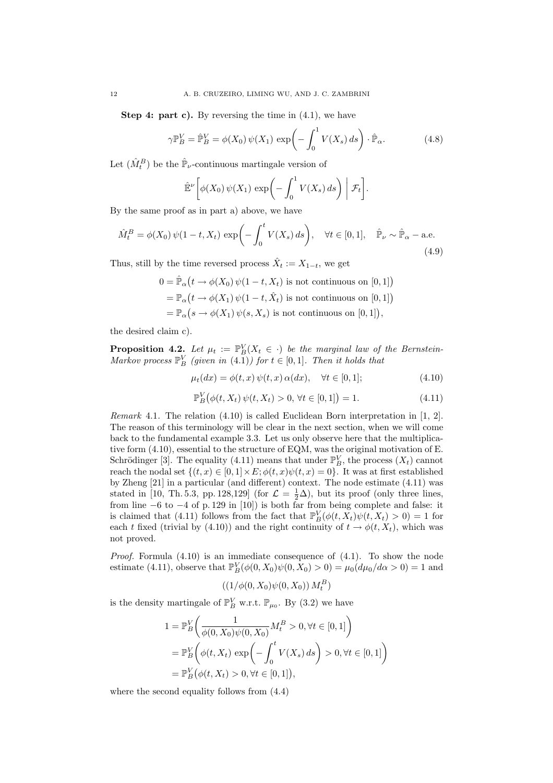**Step 4: part c).** By reversing the time in  $(4.1)$ , we have

$$
\gamma \mathbb{P}_{B}^{V} = \hat{\mathbb{P}}_{B}^{V} = \phi(X_0) \psi(X_1) \exp\left(-\int_0^1 V(X_s) ds\right) \cdot \hat{\mathbb{P}}_{\alpha}.
$$
 (4.8)

Let  $(\hat{M}_t^B)$  be the  $\hat{\mathbb{P}}_\nu$ -continuous martingale version of

$$
\hat{\mathbb{E}}^{\nu}\bigg[\phi(X_0)\,\psi(X_1)\,\exp\bigg(-\int_0^1 V(X_s)\,ds\bigg)\bigg|\,\mathcal{F}_t\bigg].
$$

By the same proof as in part a) above, we have

$$
\hat{M}_t^B = \phi(X_0) \psi(1-t, X_t) \exp\left(-\int_0^t V(X_s) ds\right), \quad \forall t \in [0, 1], \quad \hat{\mathbb{P}}_\nu \sim \hat{\mathbb{P}}_\alpha - \text{a.e.}
$$
\n(4.9)

Thus, still by the time reversed process  $\hat{X}_t := X_{1-t}$ , we get

 $0 = \hat{\mathbb{P}}_{\alpha}$  $(t \to \phi(X_0) \psi(1-t, X_t)$  is not continuous on  $[0, 1]$  $=\mathbb{P}_{\alpha}$  $(t \to \phi(X_1) \psi(1-t, \hat{X}_t)$  is not continuous on [0, 1])  $=\mathbb{P}_{\alpha}$  $(s \to \phi(X_1) \psi(s, X_s)$  is not continuous on  $[0, 1]$ ,

the desired claim c).

**Proposition 4.2.** Let  $\mu_t := \mathbb{P}_{B}^{V}(X_t \in \cdot)$  be the marginal law of the Bernstein-Markov process  $\mathbb{P}_{B}^{V}$  (given in (4.1)) for  $t \in [0,1]$ . Then it holds that

$$
\mu_t(dx) = \phi(t, x) \psi(t, x) \alpha(dx), \quad \forall t \in [0, 1]; \tag{4.10}
$$

$$
\mathbb{P}_B^V(\phi(t, X_t) \psi(t, X_t) > 0, \forall t \in [0, 1]) = 1.
$$
\n(4.11)

Remark 4.1. The relation (4.10) is called Euclidean Born interpretation in [1, 2]. The reason of this terminology will be clear in the next section, when we will come back to the fundamental example 3.3. Let us only observe here that the multiplicative form (4.10), essential to the structure of EQM, was the original motivation of E. Schrödinger [3]. The equality (4.11) means that under  $\mathbb{P}_{B}^{V}$ , the process  $(X_t)$  cannot reach the nodal set  $\{(t, x) \in [0, 1] \times E; \phi(t, x)\psi(t, x) = 0\}$ . It was at first established by Zheng [21] in a particular (and different) context. The node estimate (4.11) was stated in [10, Th. 5.3, pp. 128,129] (for  $\mathcal{L} = \frac{1}{2}\Delta$ ), but its proof (only three lines, from line  $-6$  to  $-4$  of p. 129 in [10]) is both far from being complete and false: it is claimed that (4.11) follows from the fact that  $\mathbb{P}_B^V(\phi(t, X_t)\psi(t, X_t) > 0) = 1$  for each t fixed (trivial by (4.10)) and the right continuity of  $t \to \phi(t, X_t)$ , which was not proved.

*Proof.* Formula  $(4.10)$  is an immediate consequence of  $(4.1)$ . To show the node estimate (4.11), observe that  $\mathbb{P}_{B}^{V}(\phi(0, X_{0})\psi(0, X_{0}) > 0) = \mu_{0}(d\mu_{0}/d\alpha > 0) = 1$  and

$$
((1/\phi(0,X_0)\psi(0,X_0))\,M_t^B)
$$

is the density martingale of  $\mathbb{P}_{B}^{V}$  w.r.t.  $\mathbb{P}_{\mu_{0}}$ . By (3.2) we have

$$
1 = \mathbb{P}_{B}^{V}\left(\frac{1}{\phi(0, X_{0})\psi(0, X_{0})}M_{t}^{B} > 0, \forall t \in [0, 1]\right)
$$
  
= 
$$
\mathbb{P}_{B}^{V}\left(\phi(t, X_{t}) \exp\left(-\int_{0}^{t} V(X_{s}) ds\right) > 0, \forall t \in [0, 1]\right)
$$
  
= 
$$
\mathbb{P}_{B}^{V}(\phi(t, X_{t}) > 0, \forall t \in [0, 1]),
$$

where the second equality follows from (4.4)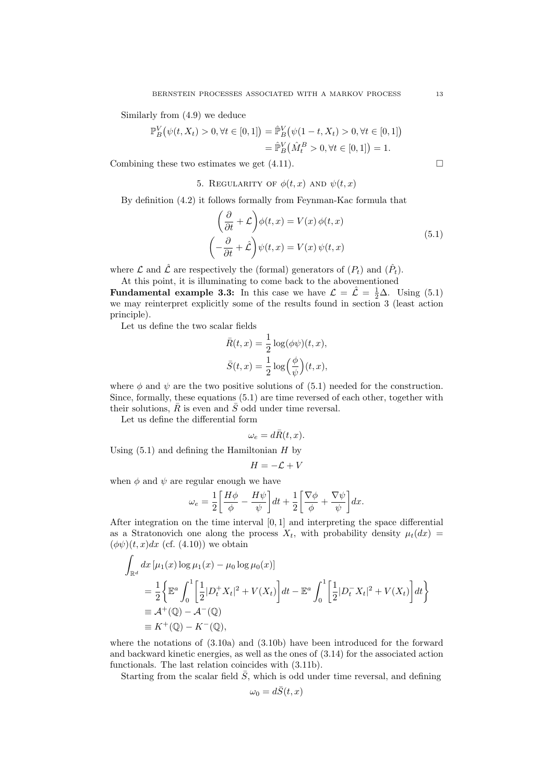Similarly from (4.9) we deduce

$$
\mathbb{P}_B^V(\psi(t, X_t) > 0, \forall t \in [0, 1]) = \hat{\mathbb{P}}_B^V(\psi(1 - t, X_t) > 0, \forall t \in [0, 1])
$$
  
=  $\hat{\mathbb{P}}_B^V(\hat{M}_t^B > 0, \forall t \in [0, 1]) = 1.$ 

Combining these two estimates we get  $(4.11)$ .

5. REGULARITY OF  $\phi(t,x)$  and  $\psi(t,x)$ 

By definition (4.2) it follows formally from Feynman-Kac formula that  $\overline{a}$  $\mathbf{r}$ 

$$
\left(\frac{\partial}{\partial t} + \mathcal{L}\right)\phi(t, x) = V(x)\,\phi(t, x) \n\left(-\frac{\partial}{\partial t} + \hat{\mathcal{L}}\right)\psi(t, x) = V(x)\,\psi(t, x)
$$
\n(5.1)

where  $\mathcal L$  and  $\hat{\mathcal L}$  are respectively the (formal) generators of  $(P_t)$  and  $(\hat{P}_t)$ .

At this point, it is illuminating to come back to the abovementioned **Fundamental example 3.3:** In this case we have  $\mathcal{L} = \hat{\mathcal{L}} = \frac{1}{2}\Delta$ . Using (5.1) we may reinterpret explicitly some of the results found in section 3 (least action principle).

Let us define the two scalar fields

$$
\bar{R}(t, x) = \frac{1}{2} \log(\phi \psi)(t, x),
$$
  

$$
\bar{S}(t, x) = \frac{1}{2} \log \left(\frac{\phi}{\psi}\right)(t, x),
$$

where  $\phi$  and  $\psi$  are the two positive solutions of (5.1) needed for the construction. Since, formally, these equations (5.1) are time reversed of each other, together with their solutions,  $\overline{R}$  is even and  $\overline{S}$  odd under time reversal.

Let us define the differential form

$$
\omega_e = d\bar{R}(t, x).
$$

Using  $(5.1)$  and defining the Hamiltonian H by

$$
H=-\mathcal{L}+V
$$

when  $\phi$  and  $\psi$  are regular enough we have

$$
\omega_e = \frac{1}{2} \left[ \frac{H\phi}{\phi} - \frac{H\psi}{\psi} \right] dt + \frac{1}{2} \left[ \frac{\nabla \phi}{\phi} + \frac{\nabla \psi}{\psi} \right] dx.
$$

After integration on the time interval [0, 1] and interpreting the space differential as a Stratonovich one along the process  $X_t$ , with probability density  $\mu_t(dx)$  $(\phi \psi)(t, x)dx$  (cf. (4.10)) we obtain  $\overline{a}$ 

$$
\int_{\mathbb{R}^d} dx \, [\mu_1(x) \log \mu_1(x) - \mu_0 \log \mu_0(x)]
$$
\n
$$
= \frac{1}{2} \left\{ \mathbb{E}^a \int_0^1 \left[ \frac{1}{2} |D_t^+ X_t|^2 + V(X_t) \right] dt - \mathbb{E}^a \int_0^1 \left[ \frac{1}{2} |D_t^- X_t|^2 + V(X_t) \right] dt \right\}
$$
\n
$$
\equiv A^+(\mathbb{Q}) - A^-(\mathbb{Q})
$$
\n
$$
\equiv K^+(\mathbb{Q}) - K^-(\mathbb{Q}),
$$

where the notations of (3.10a) and (3.10b) have been introduced for the forward and backward kinetic energies, as well as the ones of (3.14) for the associated action functionals. The last relation coincides with (3.11b).

Starting from the scalar field  $\overline{S}$ , which is odd under time reversal, and defining

$$
\omega_0 = d\bar{S}(t, x)
$$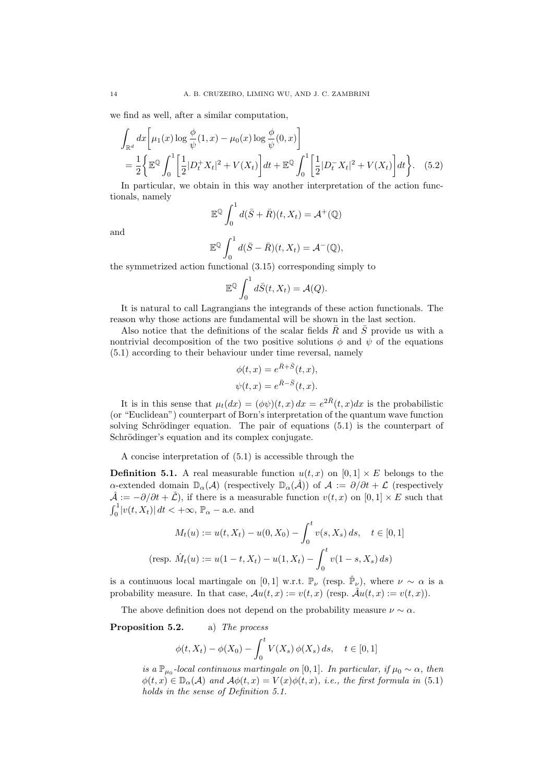we find as well, after a similar computation,

$$
\int_{\mathbb{R}^d} dx \left[ \mu_1(x) \log \frac{\phi}{\psi}(1, x) - \mu_0(x) \log \frac{\phi}{\psi}(0, x) \right]
$$
\n
$$
= \frac{1}{2} \left\{ \mathbb{E}^{\mathbb{Q}} \int_0^1 \left[ \frac{1}{2} |D_t^+ X_t|^2 + V(X_t) \right] dt + \mathbb{E}^{\mathbb{Q}} \int_0^1 \left[ \frac{1}{2} |D_t^- X_t|^2 + V(X_t) \right] dt \right\}. \quad (5.2)
$$
\nIn particular, we obtain in this way, on the transformation of the action, we can find:

In particular, we obtain in this way another interpretation of the action functionals, namely  $\mathfrak{c}^1$ 

$$
\mathbb{E}^{\mathbb{Q}}\int_0^1 d(\bar{S}+\bar{R})(t,X_t)=\mathcal{A}^+(\mathbb{Q})
$$

and

$$
\mathbb{E}^{\mathbb{Q}}\int_0^1 d(\bar{S}-\bar{R})(t,X_t)=\mathcal{A}^{-}(\mathbb{Q}),
$$

the symmetrized action functional (3.15) corresponding simply to

$$
\mathbb{E}^{\mathbb{Q}} \int_0^1 d\overline{S}(t, X_t) = \mathcal{A}(Q).
$$

It is natural to call Lagrangians the integrands of these action functionals. The reason why those actions are fundamental will be shown in the last section.

Also notice that the definitions of the scalar fields  $\overline{R}$  and  $\overline{S}$  provide us with a nontrivial decomposition of the two positive solutions  $\phi$  and  $\psi$  of the equations (5.1) according to their behaviour under time reversal, namely

$$
\phi(t, x) = e^{\bar{R} + \bar{S}}(t, x),
$$
  

$$
\psi(t, x) = e^{\bar{R} - \bar{S}}(t, x).
$$

It is in this sense that  $\mu_t(dx) = (\phi \psi)(t, x) dx = e^{2\overline{R}}(t, x) dx$  is the probabilistic (or "Euclidean") counterpart of Born's interpretation of the quantum wave function solving Schrödinger equation. The pair of equations  $(5.1)$  is the counterpart of Schrödinger's equation and its complex conjugate.

A concise interpretation of (5.1) is accessible through the

**Definition 5.1.** A real measurable function  $u(t, x)$  on  $[0, 1] \times E$  belongs to the α-extended domain  $\mathbb{D}_{\alpha}(A)$  (respectively  $\mathbb{D}_{\alpha}(\hat{\mathcal{A}})$ ) of  $\mathcal{A} := \partial/\partial t + \mathcal{L}$  (respectively  $\hat{\mathcal{A}} := -\partial/\partial t + \hat{\mathcal{L}}$ , if there is a measurable function  $v(t, x)$  on  $[0, 1] \times E$  such that  $\frac{\lambda}{r^1}$  $\int_0^1 |v(t, X_t)| dt < +\infty$ ,  $\mathbb{P}_{\alpha}$  – a.e. and

$$
M_t(u) := u(t, X_t) - u(0, X_0) - \int_0^t v(s, X_s) ds, \quad t \in [0, 1]
$$
  
(resp.  $\hat{M}_t(u) := u(1 - t, X_t) - u(1, X_t) - \int_0^t v(1 - s, X_s) ds)$ )

is a continuous local martingale on [0, 1] w.r.t.  $\mathbb{P}_{\nu}$  (resp.  $\hat{\mathbb{P}}_{\nu}$ ), where  $\nu \sim \alpha$  is a probability measure. In that case,  $Au(t, x) := v(t, x)$  (resp.  $\hat{A}u(t, x) := v(t, x)$ ).

The above definition does not depend on the probability measure  $\nu \sim \alpha$ .

### Proposition 5.2. a) The process

$$
\phi(t, X_t) - \phi(X_0) - \int_0^t V(X_s) \, \phi(X_s) \, ds, \quad t \in [0, 1]
$$

is a  $\mathbb{P}_{\mu_0}$ -local continuous martingale on [0,1]. In particular, if  $\mu_0 \sim \alpha$ , then  $\phi(t, x) \in \mathbb{D}_{\alpha}(A)$  and  $\mathcal{A}\phi(t, x) = V(x)\phi(t, x)$ , i.e., the first formula in (5.1) holds in the sense of Definition 5.1.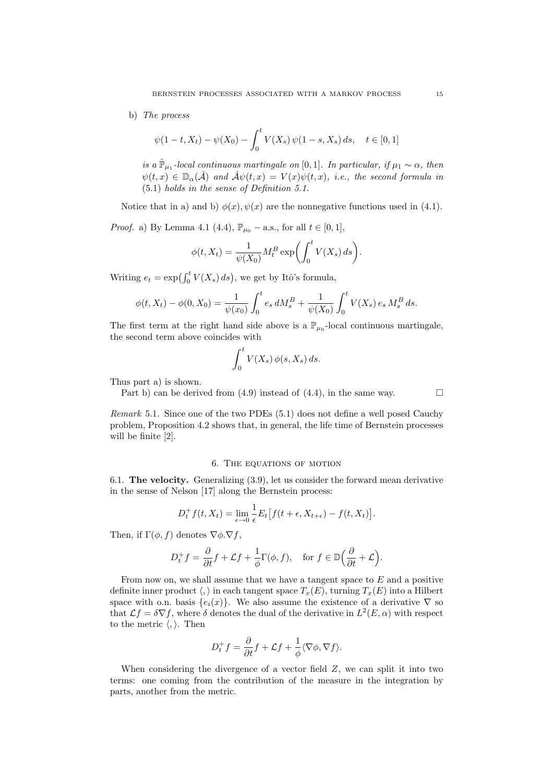## b) The process

$$
\psi(1-t, X_t) - \psi(X_0) - \int_0^t V(X_s) \psi(1-s, X_s) ds, \quad t \in [0, 1]
$$

is a  $\hat{\mathbb{P}}_{\mu_1}$ -local continuous martingale on [0,1]. In particular, if  $\mu_1 \sim \alpha$ , then  $\psi(t,x) \in \mathbb{D}_{\alpha}(\hat{\mathcal{A}})$  and  $\hat{\mathcal{A}}\psi(t,x) = V(x)\psi(t,x)$ , i.e., the second formula in (5.1) holds in the sense of Definition 5.1.

Notice that in a) and b)  $\phi(x)$ ,  $\psi(x)$  are the nonnegative functions used in (4.1).

*Proof.* a) By Lemma 4.1 (4.4),  $\mathbb{P}_{\mu_0}$  – a.s., for all  $t \in [0, 1]$ ,

$$
\phi(t, X_t) = \frac{1}{\psi(X_0)} M_t^B \exp\biggl(\int_0^t V(X_s) \, ds\biggr).
$$

Writing  $e_t = \exp\left(\int_0^t V(X_s) ds\right)$ , we get by Itô's formula,

$$
\phi(t, X_t) - \phi(0, X_0) = \frac{1}{\psi(x_0)} \int_0^t e_s \, dM_s^B + \frac{1}{\psi(X_0)} \int_0^t V(X_s) \, e_s \, M_s^B \, ds.
$$

The first term at the right hand side above is a  $\mathbb{P}_{\mu_0}$ -local continuous martingale, the second term above coincides with

$$
\int_0^t V(X_s) \, \phi(s, X_s) \, ds.
$$

Thus part a) is shown.

Part b) can be derived from (4.9) instead of (4.4), in the same way.  $\Box$ 

Remark 5.1. Since one of the two PDEs (5.1) does not define a well posed Cauchy problem, Proposition 4.2 shows that, in general, the life time of Bernstein processes will be finite [2].

#### 6. The equations of motion

6.1. The velocity. Generalizing (3.9), let us consider the forward mean derivative in the sense of Nelson [17] along the Bernstein process:

$$
D_t^+ f(t, X_t) = \lim_{\epsilon \to 0} \frac{1}{\epsilon} E_t \left[ f(t + \epsilon, X_{t + \epsilon}) - f(t, X_t) \right].
$$

Then, if  $\Gamma(\phi, f)$  denotes  $\nabla \phi \cdot \nabla f$ ,

$$
D_t^+ f = \frac{\partial}{\partial t} f + \mathcal{L} f + \frac{1}{\phi} \Gamma(\phi, f), \quad \text{for } f \in \mathbb{D} \Big( \frac{\partial}{\partial t} + \mathcal{L} \Big).
$$

From now on, we shall assume that we have a tangent space to  $E$  and a positive definite inner product  $\langle , \rangle$  in each tangent space  $T_x(E)$ , turning  $T_x(E)$  into a Hilbert space with o.n. basis  ${e_i(x)}$ . We also assume the existence of a derivative  $\nabla$  so that  $\mathcal{L}f = \delta \nabla f$ , where  $\delta$  denotes the dual of the derivative in  $L^2(E, \alpha)$  with respect to the metric  $\langle,\rangle$ . Then

$$
D_t^+ f = \frac{\partial}{\partial t} f + \mathcal{L} f + \frac{1}{\phi} \langle \nabla \phi, \nabla f \rangle.
$$

When considering the divergence of a vector field  $Z$ , we can split it into two terms: one coming from the contribution of the measure in the integration by parts, another from the metric.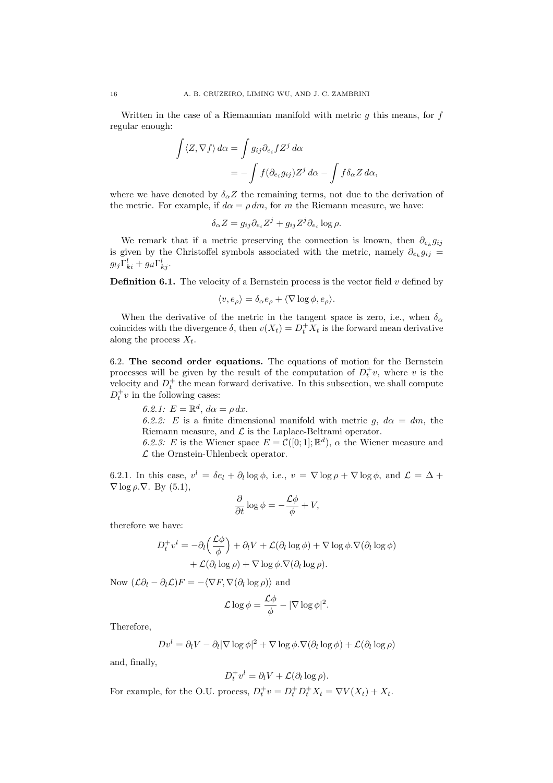Written in the case of a Riemannian manifold with metric  $g$  this means, for  $f$ regular enough:

$$
\int \langle Z, \nabla f \rangle d\alpha = \int g_{ij} \partial_{e_i} f Z^j d\alpha
$$

$$
= - \int f(\partial_{e_i} g_{ij}) Z^j d\alpha - \int f \delta_\alpha Z d\alpha,
$$

where we have denoted by  $\delta_{\alpha}Z$  the remaining terms, not due to the derivation of the metric. For example, if  $d\alpha = \rho dm$ , for m the Riemann measure, we have:

$$
\delta_{\alpha} Z = g_{ij} \partial_{e_i} Z^j + g_{ij} Z^j \partial_{e_i} \log \rho.
$$

We remark that if a metric preserving the connection is known, then  $\partial_{e_k} g_{ij}$ is given by the Christoffel symbols associated with the metric, namely  $\partial_{e_k} g_{ij} =$  $g_{lj}\Gamma_{ki}^l+g_{il}\Gamma_{kj}^l.$ 

**Definition 6.1.** The velocity of a Bernstein process is the vector field  $v$  defined by

$$
\langle v, e_{\rho} \rangle = \delta_{\alpha} e_{\rho} + \langle \nabla \log \phi, e_{\rho} \rangle.
$$

When the derivative of the metric in the tangent space is zero, i.e., when  $\delta_{\alpha}$ coincides with the divergence  $\delta$ , then  $v(X_t) = D_t^+ X_t$  is the forward mean derivative along the process  $X_t$ .

6.2. The second order equations. The equations of motion for the Bernstein processes will be given by the result of the computation of  $D_t^+v$ , where v is the velocity and  $D_t^+$  the mean forward derivative. In this subsection, we shall compute  $D_t^+ v$  in the following cases:

6.2.1:  $E = \mathbb{R}^d$ ,  $d\alpha = \rho dx$ .

6.2.2: E is a finite dimensional manifold with metric g,  $d\alpha = dm$ , the Riemann measure, and  $\mathcal L$  is the Laplace-Beltrami operator.

6.2.3: E is the Wiener space  $E = \mathcal{C}([0; 1]; \mathbb{R}^d)$ ,  $\alpha$  the Wiener measure and  $\mathcal L$  the Ornstein-Uhlenbeck operator.

6.2.1. In this case,  $v^l = \delta e_l + \partial_l \log \phi$ , i.e.,  $v = \nabla \log \rho + \nabla \log \phi$ , and  $\mathcal{L} = \Delta + \nabla \log \phi$  $\nabla$  log  $\rho$ .  $\nabla$ . By (5.1),

$$
\frac{\partial}{\partial t} \log \phi = -\frac{\mathcal{L}\phi}{\phi} + V,
$$

therefore we have:

$$
D_t^+ v^l = -\partial_l \left(\frac{\mathcal{L}\phi}{\phi}\right) + \partial_l V + \mathcal{L}(\partial_l \log \phi) + \nabla \log \phi \cdot \nabla(\partial_l \log \phi) + \mathcal{L}(\partial_l \log \rho) + \nabla \log \phi \cdot \nabla(\partial_l \log \rho).
$$

Now  $(\mathcal{L}\partial_l - \partial_l \mathcal{L})F = -\langle \nabla F, \nabla(\partial_l \log \rho) \rangle$  and

$$
\mathcal{L}\log\phi = \frac{\mathcal{L}\phi}{\phi} - |\nabla\log\phi|^2.
$$

Therefore,

$$
Dv^{l} = \partial_{l}V - \partial_{l}|\nabla \log \phi|^{2} + \nabla \log \phi \cdot \nabla(\partial_{l} \log \phi) + \mathcal{L}(\partial_{l} \log \rho)
$$

and, finally,

$$
D_t^+ v^l = \partial_l V + \mathcal{L}(\partial_l \log \rho).
$$

For example, for the O.U. process,  $D_t^+ v = D_t^+ D_t^+ X_t = \nabla V(X_t) + X_t$ .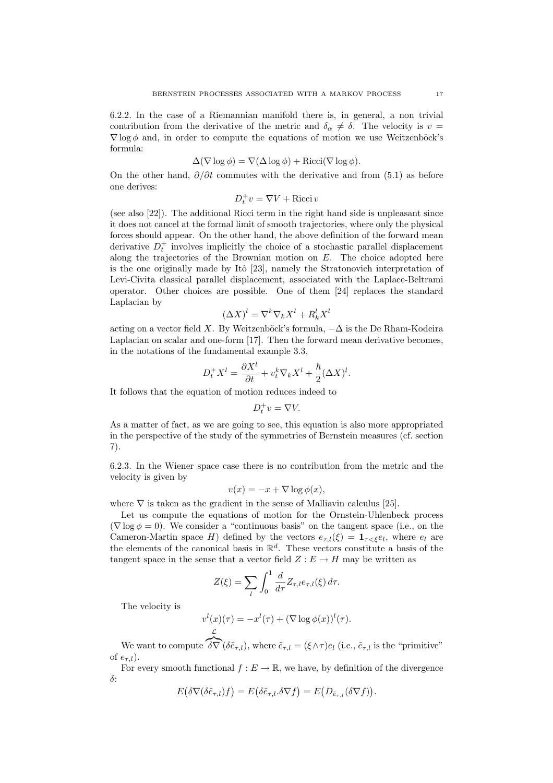6.2.2. In the case of a Riemannian manifold there is, in general, a non trivial contribution from the derivative of the metric and  $\delta_{\alpha} \neq \delta$ . The velocity is  $v =$  $\nabla$  log  $\phi$  and, in order to compute the equations of motion we use Weitzenböck's formula:

$$
\Delta(\nabla \log \phi) = \nabla(\Delta \log \phi) + \text{Ricci}(\nabla \log \phi).
$$

On the other hand,  $\partial/\partial t$  commutes with the derivative and from (5.1) as before one derives:

$$
D_t^+v=\nabla V+\operatorname{Ricci} v
$$

(see also [22]). The additional Ricci term in the right hand side is unpleasant since it does not cancel at the formal limit of smooth trajectories, where only the physical forces should appear. On the other hand, the above definition of the forward mean derivative  $D_t^+$  involves implicitly the choice of a stochastic parallel displacement along the trajectories of the Brownian motion on  $E$ . The choice adopted here is the one originally made by Itô  $[23]$ , namely the Stratonovich interpretation of Levi-Civita classical parallel displacement, associated with the Laplace-Beltrami operator. Other choices are possible. One of them [24] replaces the standard Laplacian by

$$
(\Delta X)^l = \nabla^k \nabla_k X^l + R_k^l X^l
$$

acting on a vector field X. By Weitzenböck's formula,  $-\Delta$  is the De Rham-Kodeira Laplacian on scalar and one-form [17]. Then the forward mean derivative becomes, in the notations of the fundamental example 3.3,

$$
D_t^+ X^l = \frac{\partial X^l}{\partial t} + v_t^k \nabla_k X^l + \frac{\hbar}{2} (\Delta X)^l.
$$

It follows that the equation of motion reduces indeed to

$$
D_t^+v=\nabla V.
$$

As a matter of fact, as we are going to see, this equation is also more appropriated in the perspective of the study of the symmetries of Bernstein measures (cf. section 7).

6.2.3. In the Wiener space case there is no contribution from the metric and the velocity is given by

$$
v(x) = -x + \nabla \log \phi(x),
$$

where  $\nabla$  is taken as the gradient in the sense of Malliavin calculus [25].

Let us compute the equations of motion for the Ornstein-Uhlenbeck process  $(\nabla \log \phi = 0)$ . We consider a "continuous basis" on the tangent space (i.e., on the Cameron-Martin space H) defined by the vectors  $e_{\tau,l}(\xi) = \mathbf{1}_{\tau \leq \xi} e_l$ , where  $e_l$  are the elements of the canonical basis in  $\mathbb{R}^d$ . These vectors constitute a basis of the tangent space in the sense that a vector field  $Z : E \to H$  may be written as

$$
Z(\xi) = \sum_{l} \int_0^1 \frac{d}{d\tau} Z_{\tau,l} e_{\tau,l}(\xi) d\tau.
$$

The velocity is

$$
v^{l}(x)(\tau) = -x^{l}(\tau) + (\nabla \log \phi(x))^{l}(\tau).
$$

We want to compute  $\delta \nabla (\delta \tilde{e}_{\tau,l})$ , where  $\tilde{e}_{\tau,l} = (\xi \wedge \tau) e_l$  (i.e.,  $\tilde{e}_{\tau,l}$  is the "primitive" of  $e_{\tau l}$ ).

For every smooth functional  $f : E \to \mathbb{R}$ , we have, by definition of the divergence δ: ¡ ¢ ¡ ¢ ¡ ¢

$$
E(\delta \nabla (\delta \tilde{e}_{\tau,l})f) = E(\delta \tilde{e}_{\tau,l}.\delta \nabla f) = E(D_{\tilde{e}_{\tau,l}}(\delta \nabla f)).
$$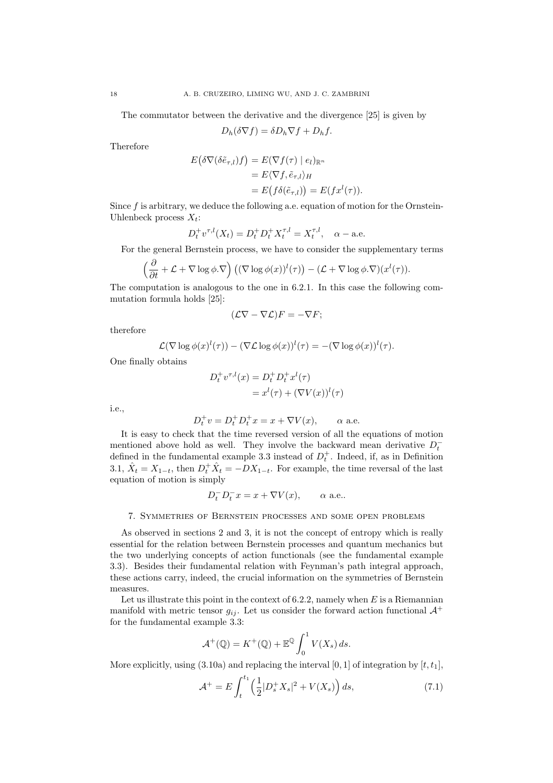The commutator between the derivative and the divergence [25] is given by

$$
D_h(\delta \nabla f) = \delta D_h \nabla f + D_h f.
$$

Therefore

$$
E(\delta \nabla(\delta \tilde{e}_{\tau,l})f) = E(\nabla f(\tau) | e_l)_{\mathbb{R}^n}
$$
  
=  $E \langle \nabla f, \tilde{e}_{\tau,l} \rangle_H$   
=  $E(f \delta(\tilde{e}_{\tau,l})) = E(f x^l(\tau)).$ 

Since  $f$  is arbitrary, we deduce the following a.e. equation of motion for the Ornstein-Uhlenbeck process  $X_t$ :

$$
D_t^+ v^{\tau,l}(X_t) = D_t^+ D_t^+ X_t^{\tau,l} = X_t^{\tau,l}, \quad \alpha - \text{a.e.}
$$

For the general Bernstein process, we have to consider the supplementary terms

$$
\left(\frac{\partial}{\partial t} + \mathcal{L} + \nabla \log \phi . \nabla \right) \left( (\nabla \log \phi(x))^l(\tau) \right) - (\mathcal{L} + \nabla \log \phi . \nabla)(x^l(\tau)).
$$

The computation is analogous to the one in 6.2.1. In this case the following commutation formula holds [25]:

$$
(\mathcal{L}\nabla - \nabla \mathcal{L})F = -\nabla F;
$$

therefore

$$
\mathcal{L}(\nabla \log \phi(x)^l(\tau)) - (\nabla \mathcal{L} \log \phi(x))^l(\tau) = -(\nabla \log \phi(x))^l(\tau).
$$

One finally obtains

$$
D_t^+ v^{\tau, l}(x) = D_t^+ D_t^+ x^l(\tau)
$$
  
=  $x^l(\tau) + (\nabla V(x))^l(\tau)$ 

i.e.,

$$
D_t^+ v = D_t^+ D_t^+ x = x + \nabla V(x), \qquad \alpha \text{ a.e.}
$$

It is easy to check that the time reversed version of all the equations of motion mentioned above hold as well. They involve the backward mean derivative  $D_t^$ defined in the fundamental example 3.3 instead of  $D_t^+$ . Indeed, if, as in Definition 3.1,  $\hat{X}_t = X_{1-t}$ , then  $D_t^+ \hat{X}_t = -DX_{1-t}$ . For example, the time reversal of the last equation of motion is simply

$$
D_t^- D_t^- x = x + \nabla V(x), \qquad \alpha \text{ a.e.}.
$$

#### 7. Symmetries of Bernstein processes and some open problems

As observed in sections 2 and 3, it is not the concept of entropy which is really essential for the relation between Bernstein processes and quantum mechanics but the two underlying concepts of action functionals (see the fundamental example 3.3). Besides their fundamental relation with Feynman's path integral approach, these actions carry, indeed, the crucial information on the symmetries of Bernstein measures.

Let us illustrate this point in the context of  $6.2.2$ , namely when E is a Riemannian manifold with metric tensor  $g_{ij}$ . Let us consider the forward action functional  $\mathcal{A}^+$ for the fundamental example 3.3:

$$
\mathcal{A}^+(\mathbb{Q}) = K^+(\mathbb{Q}) + \mathbb{E}^{\mathbb{Q}} \int_0^1 V(X_s) \, ds.
$$

More explicitly, using  $(3.10a)$  and replacing the interval  $[0, 1]$  of integration by  $[t, t_1]$ ,

$$
\mathcal{A}^+ = E \int_t^{t_1} \left( \frac{1}{2} |D_s^+ X_s|^2 + V(X_s) \right) ds, \tag{7.1}
$$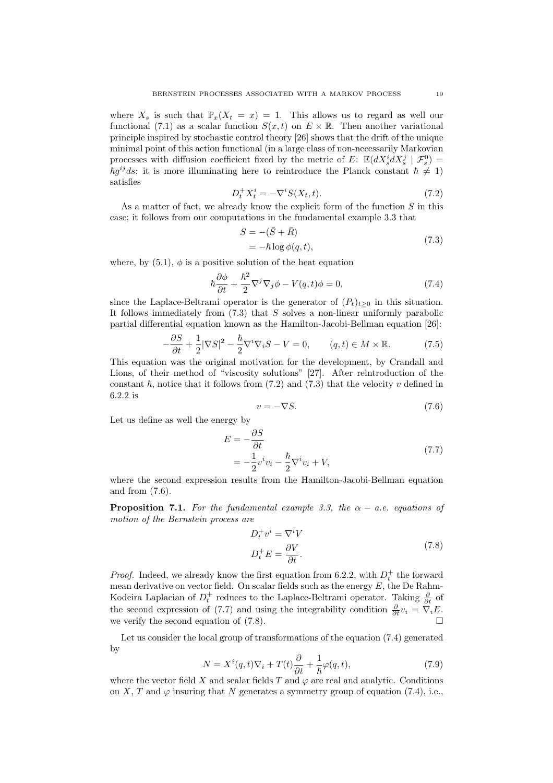where  $X_s$  is such that  $\mathbb{P}_x(X_t = x) = 1$ . This allows us to regard as well our functional (7.1) as a scalar function  $S(x,t)$  on  $E \times \mathbb{R}$ . Then another variational principle inspired by stochastic control theory [26] shows that the drift of the unique minimal point of this action functional (in a large class of non-necessarily Markovian processes with diffusion coefficient fixed by the metric of E:  $\mathbb{E}(dX_s^i dX_s^j \mid \mathcal{F}_s^0)$  =  $\hbar g^{ij}$ ds; it is more illuminating here to reintroduce the Planck constant  $\hbar \neq 1$ ) satisfies

$$
D_t^+ X_t^i = -\nabla^i S(X_t, t). \tag{7.2}
$$

As a matter of fact, we already know the explicit form of the function  $S$  in this case; it follows from our computations in the fundamental example 3.3 that

$$
S = -(\bar{S} + \bar{R})
$$
  
=  $-\hbar \log \phi(q, t)$ , (7.3)

where, by  $(5.1)$ ,  $\phi$  is a positive solution of the heat equation

$$
\hbar \frac{\partial \phi}{\partial t} + \frac{\hbar^2}{2} \nabla^j \nabla_j \phi - V(q, t) \phi = 0, \tag{7.4}
$$

since the Laplace-Beltrami operator is the generator of  $(P_t)_{t\geq0}$  in this situation. It follows immediately from  $(7.3)$  that S solves a non-linear uniformly parabolic partial differential equation known as the Hamilton-Jacobi-Bellman equation [26]:

$$
-\frac{\partial S}{\partial t} + \frac{1}{2}|\nabla S|^2 - \frac{\hbar}{2}\nabla^i\nabla_i S - V = 0, \qquad (q, t) \in M \times \mathbb{R}.
$$
 (7.5)

This equation was the original motivation for the development, by Crandall and Lions, of their method of "viscosity solutions" [27]. After reintroduction of the constant  $\hbar$ , notice that it follows from (7.2) and (7.3) that the velocity v defined in 6.2.2 is

$$
v = -\nabla S. \tag{7.6}
$$

Let us define as well the energy by

$$
E = -\frac{\partial S}{\partial t}
$$
  
=  $-\frac{1}{2}v^iv_i - \frac{\hbar}{2}\nabla^iv_i + V,$  (7.7)

where the second expression results from the Hamilton-Jacobi-Bellman equation and from (7.6).

**Proposition 7.1.** For the fundamental example 3.3, the  $\alpha$  – a.e. equations of motion of the Bernstein process are

$$
D_t^+ v^i = \nabla^i V
$$
  
\n
$$
D_t^+ E = \frac{\partial V}{\partial t}.
$$
\n(7.8)

*Proof.* Indeed, we already know the first equation from 6.2.2, with  $D_t^+$  the forward mean derivative on vector field. On scalar fields such as the energy  $E$ , the De Rahm-Kodeira Laplacian of  $D_t^+$  reduces to the Laplace-Beltrami operator. Taking  $\frac{\partial}{\partial t}$  of the second expression of (7.7) and using the integrability condition  $\frac{\partial}{\partial t}v_i = \nabla_i E$ . we verify the second equation of  $(7.8)$ .

Let us consider the local group of transformations of the equation (7.4) generated by

$$
N = X^{i}(q,t)\nabla_{i} + T(t)\frac{\partial}{\partial t} + \frac{1}{\hbar}\varphi(q,t),
$$
\n(7.9)

where the vector field X and scalar fields T and  $\varphi$  are real and analytic. Conditions on X, T and  $\varphi$  insuring that N generates a symmetry group of equation (7.4), i.e.,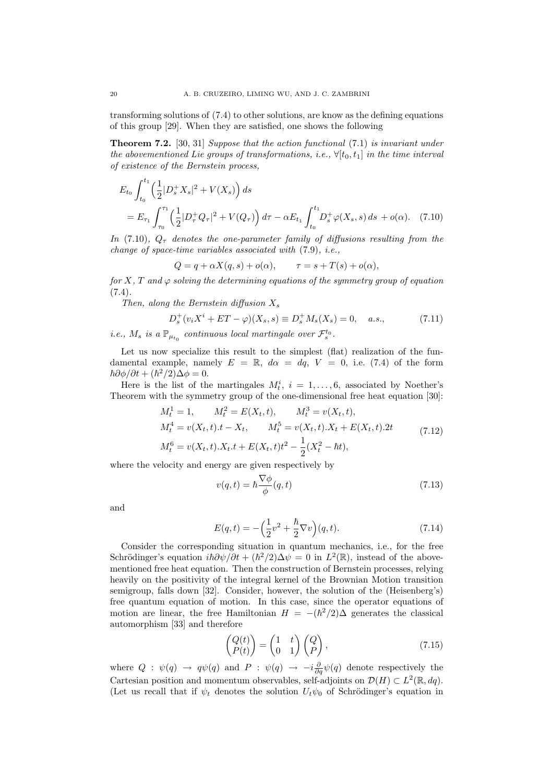transforming solutions of (7.4) to other solutions, are know as the defining equations of this group [29]. When they are satisfied, one shows the following

**Theorem 7.2.** [30, 31] Suppose that the action functional  $(7.1)$  is invariant under the abovementioned Lie groups of transformations, i.e.,  $\forall [t_0, t_1]$  in the time interval of existence of the Bernstein process,

$$
E_{t_0} \int_{t_0}^{t_1} \left(\frac{1}{2} |D_s^+ X_s|^2 + V(X_s)\right) ds
$$
  
=  $E_{\tau_1} \int_{\tau_0}^{\tau_1} \left(\frac{1}{2} |D_\tau^+ Q_\tau|^2 + V(Q_\tau)\right) d\tau - \alpha E_{t_1} \int_{t_0}^{t_1} D_s^+ \varphi(X_s, s) ds + o(\alpha).$  (7.10)

In (7.10),  $Q_{\tau}$  denotes the one-parameter family of diffusions resulting from the change of space-time variables associated with (7.9), i.e.,

$$
Q = q + \alpha X(q, s) + o(\alpha), \qquad \tau = s + T(s) + o(\alpha),
$$

for X, T and  $\varphi$  solving the determining equations of the symmetry group of equation  $(7.4).$ 

Then, along the Bernstein diffusion  $X_s$ 

$$
D_s^+(v_iX^i + ET - \varphi)(X_s, s) \equiv D_s^+M_s(X_s) = 0, \quad a.s., \tag{7.11}
$$

*i.e.*,  $M_s$  is a  $\mathbb{P}_{\mu_{t_0}}$  continuous local martingale over  $\mathcal{F}_s^{t_0}$ .

Let us now specialize this result to the simplest (flat) realization of the fundamental example, namely  $E = \mathbb{R}$ ,  $d\alpha = dq$ ,  $V = 0$ , i.e. (7.4) of the form  $\hbar \partial \phi / \partial t + (\hbar^2 / 2) \Delta \phi = 0.$ 

Here is the list of the martingales  $M_t^i$ ,  $i = 1, \ldots, 6$ , associated by Noether's Theorem with the symmetry group of the one-dimensional free heat equation [30]:

$$
M_t^1 = 1, \t M_t^2 = E(X_t, t), \t M_t^3 = v(X_t, t),
$$
  
\n
$$
M_t^4 = v(X_t, t).t - X_t, \t M_t^5 = v(X_t, t).X_t + E(X_t, t).2t
$$
  
\n
$$
M_t^6 = v(X_t, t).X_t.t + E(X_t, t)t^2 - \frac{1}{2}(X_t^2 - \hbar t),
$$
\n(7.12)

where the velocity and energy are given respectively by

$$
v(q,t) = \hbar \frac{\nabla \phi}{\phi}(q,t)
$$
\n(7.13)

and

$$
E(q,t) = -\left(\frac{1}{2}v^2 + \frac{\hbar}{2}\nabla v\right)(q,t).
$$
 (7.14)

Consider the corresponding situation in quantum mechanics, i.e., for the free Schrödinger's equation  $i\hbar \partial \psi/\partial t + (\hbar^2/2)\Delta \psi = 0$  in  $L^2(\mathbb{R})$ , instead of the abovementioned free heat equation. Then the construction of Bernstein processes, relying heavily on the positivity of the integral kernel of the Brownian Motion transition semigroup, falls down [32]. Consider, however, the solution of the (Heisenberg's) free quantum equation of motion. In this case, since the operator equations of motion are linear, the free Hamiltonian  $H = -(\hbar^2/2)\Delta$  generates the classical automorphism [33] and therefore

$$
\begin{pmatrix} Q(t) \\ P(t) \end{pmatrix} = \begin{pmatrix} 1 & t \\ 0 & 1 \end{pmatrix} \begin{pmatrix} Q \\ P \end{pmatrix}, \tag{7.15}
$$

where  $Q : \psi(q) \to q\psi(q)$  and  $P : \psi(q) \to -i\frac{\partial}{\partial q}\psi(q)$  denote respectively the Cartesian position and momentum observables, self-adjoints on  $\mathcal{D}(H) \subset L^2(\mathbb{R}, dq)$ . (Let us recall that if  $\psi_t$  denotes the solution  $U_t\psi_0$  of Schrödinger's equation in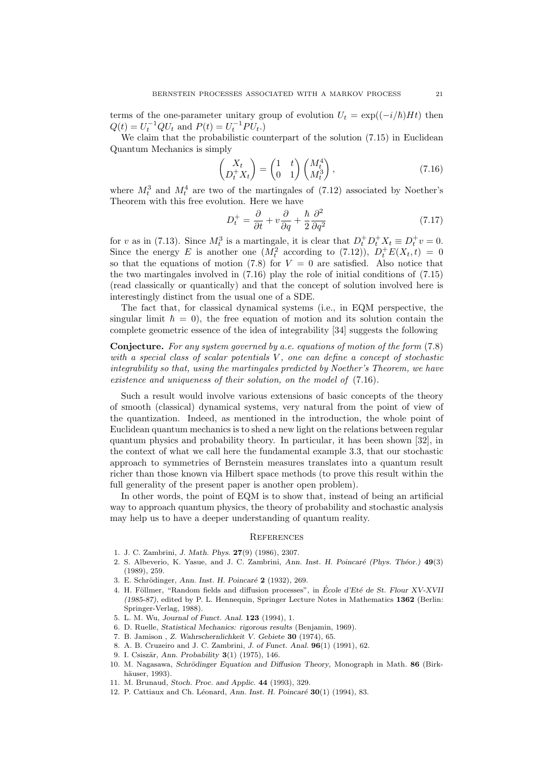terms of the one-parameter unitary group of evolution  $U_t = \exp((-i/\hbar)Ht)$  then  $Q(t) = U_t^{-1} Q U_t$  and  $P(t) = U_t^{-1} P U_t$ .

We claim that the probabilistic counterpart of the solution (7.15) in Euclidean Quantum Mechanics is simply

$$
\begin{pmatrix} X_t \\ D_t^+ X_t \end{pmatrix} = \begin{pmatrix} 1 & t \\ 0 & 1 \end{pmatrix} \begin{pmatrix} M_t^4 \\ M_t^3 \end{pmatrix},
$$
\n(7.16)

where  $M_t^3$  and  $M_t^4$  are two of the martingales of (7.12) associated by Noether's Theorem with this free evolution. Here we have

$$
D_t^+ = \frac{\partial}{\partial t} + v \frac{\partial}{\partial q} + \frac{\hbar}{2} \frac{\partial^2}{\partial q^2}
$$
 (7.17)

for v as in (7.13). Since  $M_t^3$  is a martingale, it is clear that  $D_t^+ D_t^+ X_t \equiv D_t^+ v = 0$ . Since the energy E is another one  $(M_t^2$  according to  $(7.12)$ ),  $D_t^+E(X_t,t) = 0$ so that the equations of motion (7.8) for  $V = 0$  are satisfied. Also notice that the two martingales involved in (7.16) play the role of initial conditions of (7.15) (read classically or quantically) and that the concept of solution involved here is interestingly distinct from the usual one of a SDE.

The fact that, for classical dynamical systems (i.e., in EQM perspective, the singular limit  $\hbar = 0$ , the free equation of motion and its solution contain the complete geometric essence of the idea of integrability [34] suggests the following

Conjecture. For any system governed by a.e. equations of motion of the form (7.8) with a special class of scalar potentials  $V$ , one can define a concept of stochastic integrability so that, using the martingales predicted by Noether's Theorem, we have existence and uniqueness of their solution, on the model of (7.16).

Such a result would involve various extensions of basic concepts of the theory of smooth (classical) dynamical systems, very natural from the point of view of the quantization. Indeed, as mentioned in the introduction, the whole point of Euclidean quantum mechanics is to shed a new light on the relations between regular quantum physics and probability theory. In particular, it has been shown [32], in the context of what we call here the fundamental example 3.3, that our stochastic approach to symmetries of Bernstein measures translates into a quantum result richer than those known via Hilbert space methods (to prove this result within the full generality of the present paper is another open problem).

In other words, the point of EQM is to show that, instead of being an artificial way to approach quantum physics, the theory of probability and stochastic analysis may help us to have a deeper understanding of quantum reality.

#### **REFERENCES**

- 1. J. C. Zambrini, J. Math. Phys. 27(9) (1986), 2307.
- 2. S. Albeverio, K. Yasue, and J. C. Zambrini, Ann. Inst. H. Poincaré (Phys. Théor.) 49(3) (1989), 259.
- 3. E. Schrödinger, Ann. Inst. H. Poincaré 2 (1932), 269.
- 4. H. Föllmer, "Random fields and diffusion processes", in École d'Eté de St. Flour XV-XVII (1985-87), edited by P. L. Hennequin, Springer Lecture Notes in Mathematics 1362 (Berlin: Springer-Verlag, 1988).
- 5. L. M. Wu, Journal of Funct. Anal. 123 (1994), 1.
- 6. D. Ruelle, Statistical Mechanics: rigorous results (Benjamin, 1969).
- 7. B. Jamison , Z. Wahrschernlichkeit V. Gebiete 30 (1974), 65.
- 8. A. B. Cruzeiro and J. C. Zambrini, J. of Funct. Anal. 96(1) (1991), 62.
- 9. I. Csiszär, Ann. Probability 3(1) (1975), 146.
- 10. M. Nagasawa, Schrödinger Equation and Diffusion Theory, Monograph in Math. 86 (Birkhäuser, 1993).
- 11. M. Brunaud, Stoch. Proc. and Applic. 44 (1993), 329.
- 12. P. Cattiaux and Ch. Léonard, Ann. Inst. H. Poincaré  $30(1)$  (1994), 83.